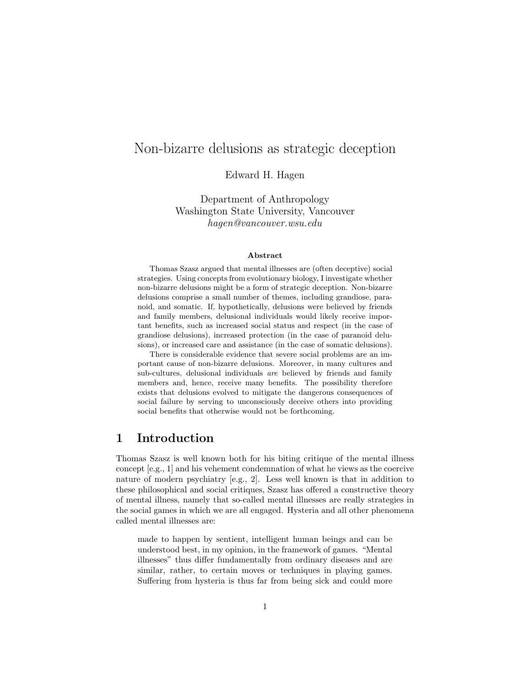# Non-bizarre delusions as strategic deception

Edward H. Hagen

Department of Anthropology Washington State University, Vancouver hagen@vancouver.wsu.edu

#### Abstract

Thomas Szasz argued that mental illnesses are (often deceptive) social strategies. Using concepts from evolutionary biology, I investigate whether non-bizarre delusions might be a form of strategic deception. Non-bizarre delusions comprise a small number of themes, including grandiose, paranoid, and somatic. If, hypothetically, delusions were believed by friends and family members, delusional individuals would likely receive important benefits, such as increased social status and respect (in the case of grandiose delusions), increased protection (in the case of paranoid delusions), or increased care and assistance (in the case of somatic delusions).

There is considerable evidence that severe social problems are an important cause of non-bizarre delusions. Moreover, in many cultures and sub-cultures, delusional individuals are believed by friends and family members and, hence, receive many benefits. The possibility therefore exists that delusions evolved to mitigate the dangerous consequences of social failure by serving to unconsciously deceive others into providing social benefits that otherwise would not be forthcoming.

## 1 Introduction

Thomas Szasz is well known both for his biting critique of the mental illness concept [e.g., 1] and his vehement condemnation of what he views as the coercive nature of modern psychiatry [e.g., 2]. Less well known is that in addition to these philosophical and social critiques, Szasz has offered a constructive theory of mental illness, namely that so-called mental illnesses are really strategies in the social games in which we are all engaged. Hysteria and all other phenomena called mental illnesses are:

made to happen by sentient, intelligent human beings and can be understood best, in my opinion, in the framework of games. "Mental illnesses" thus differ fundamentally from ordinary diseases and are similar, rather, to certain moves or techniques in playing games. Suffering from hysteria is thus far from being sick and could more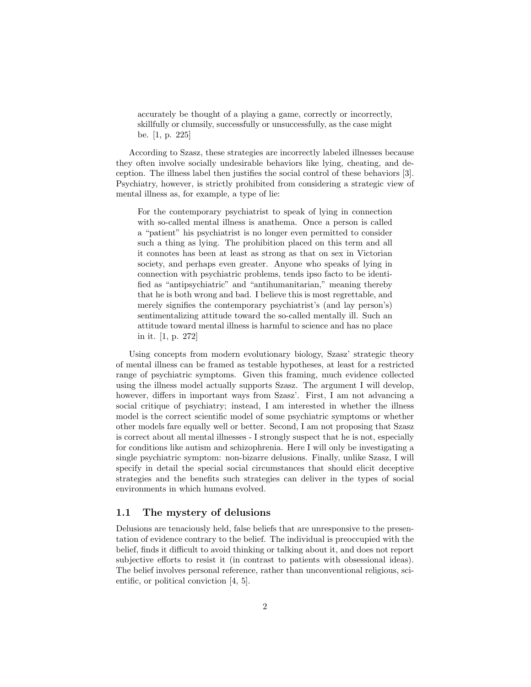accurately be thought of a playing a game, correctly or incorrectly, skillfully or clumsily, successfully or unsuccessfully, as the case might be. [1, p. 225]

According to Szasz, these strategies are incorrectly labeled illnesses because they often involve socially undesirable behaviors like lying, cheating, and deception. The illness label then justifies the social control of these behaviors [3]. Psychiatry, however, is strictly prohibited from considering a strategic view of mental illness as, for example, a type of lie:

For the contemporary psychiatrist to speak of lying in connection with so-called mental illness is anathema. Once a person is called a "patient" his psychiatrist is no longer even permitted to consider such a thing as lying. The prohibition placed on this term and all it connotes has been at least as strong as that on sex in Victorian society, and perhaps even greater. Anyone who speaks of lying in connection with psychiatric problems, tends ipso facto to be identified as "antipsychiatric" and "antihumanitarian," meaning thereby that he is both wrong and bad. I believe this is most regrettable, and merely signifies the contemporary psychiatrist's (and lay person's) sentimentalizing attitude toward the so-called mentally ill. Such an attitude toward mental illness is harmful to science and has no place in it. [1, p. 272]

Using concepts from modern evolutionary biology, Szasz' strategic theory of mental illness can be framed as testable hypotheses, at least for a restricted range of psychiatric symptoms. Given this framing, much evidence collected using the illness model actually supports Szasz. The argument I will develop, however, differs in important ways from Szasz'. First, I am not advancing a social critique of psychiatry; instead, I am interested in whether the illness model is the correct scientific model of some psychiatric symptoms or whether other models fare equally well or better. Second, I am not proposing that Szasz is correct about all mental illnesses - I strongly suspect that he is not, especially for conditions like autism and schizophrenia. Here I will only be investigating a single psychiatric symptom: non-bizarre delusions. Finally, unlike Szasz, I will specify in detail the special social circumstances that should elicit deceptive strategies and the benefits such strategies can deliver in the types of social environments in which humans evolved.

#### 1.1 The mystery of delusions

Delusions are tenaciously held, false beliefs that are unresponsive to the presentation of evidence contrary to the belief. The individual is preoccupied with the belief, finds it difficult to avoid thinking or talking about it, and does not report subjective efforts to resist it (in contrast to patients with obsessional ideas). The belief involves personal reference, rather than unconventional religious, scientific, or political conviction [4, 5].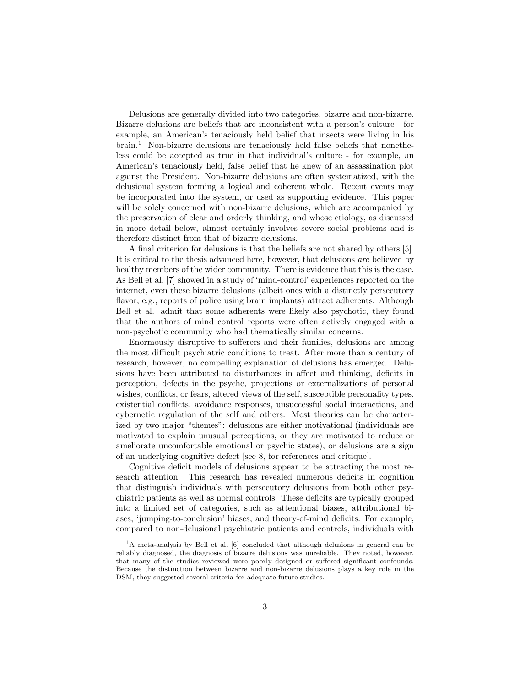Delusions are generally divided into two categories, bizarre and non-bizarre. Bizarre delusions are beliefs that are inconsistent with a person's culture - for example, an American's tenaciously held belief that insects were living in his brain.<sup>1</sup> Non-bizarre delusions are tenaciously held false beliefs that nonetheless could be accepted as true in that individual's culture - for example, an American's tenaciously held, false belief that he knew of an assassination plot against the President. Non-bizarre delusions are often systematized, with the delusional system forming a logical and coherent whole. Recent events may be incorporated into the system, or used as supporting evidence. This paper will be solely concerned with non-bizarre delusions, which are accompanied by the preservation of clear and orderly thinking, and whose etiology, as discussed in more detail below, almost certainly involves severe social problems and is therefore distinct from that of bizarre delusions.

A final criterion for delusions is that the beliefs are not shared by others [5]. It is critical to the thesis advanced here, however, that delusions are believed by healthy members of the wider community. There is evidence that this is the case. As Bell et al. [7] showed in a study of 'mind-control' experiences reported on the internet, even these bizarre delusions (albeit ones with a distinctly persecutory flavor, e.g., reports of police using brain implants) attract adherents. Although Bell et al. admit that some adherents were likely also psychotic, they found that the authors of mind control reports were often actively engaged with a non-psychotic community who had thematically similar concerns.

Enormously disruptive to sufferers and their families, delusions are among the most difficult psychiatric conditions to treat. After more than a century of research, however, no compelling explanation of delusions has emerged. Delusions have been attributed to disturbances in affect and thinking, deficits in perception, defects in the psyche, projections or externalizations of personal wishes, conflicts, or fears, altered views of the self, susceptible personality types, existential conflicts, avoidance responses, unsuccessful social interactions, and cybernetic regulation of the self and others. Most theories can be characterized by two major "themes": delusions are either motivational (individuals are motivated to explain unusual perceptions, or they are motivated to reduce or ameliorate uncomfortable emotional or psychic states), or delusions are a sign of an underlying cognitive defect [see 8, for references and critique].

Cognitive deficit models of delusions appear to be attracting the most research attention. This research has revealed numerous deficits in cognition that distinguish individuals with persecutory delusions from both other psychiatric patients as well as normal controls. These deficits are typically grouped into a limited set of categories, such as attentional biases, attributional biases, 'jumping-to-conclusion' biases, and theory-of-mind deficits. For example, compared to non-delusional psychiatric patients and controls, individuals with

<sup>&</sup>lt;sup>1</sup>A meta-analysis by Bell et al. [6] concluded that although delusions in general can be reliably diagnosed, the diagnosis of bizarre delusions was unreliable. They noted, however, that many of the studies reviewed were poorly designed or suffered significant confounds. Because the distinction between bizarre and non-bizarre delusions plays a key role in the DSM, they suggested several criteria for adequate future studies.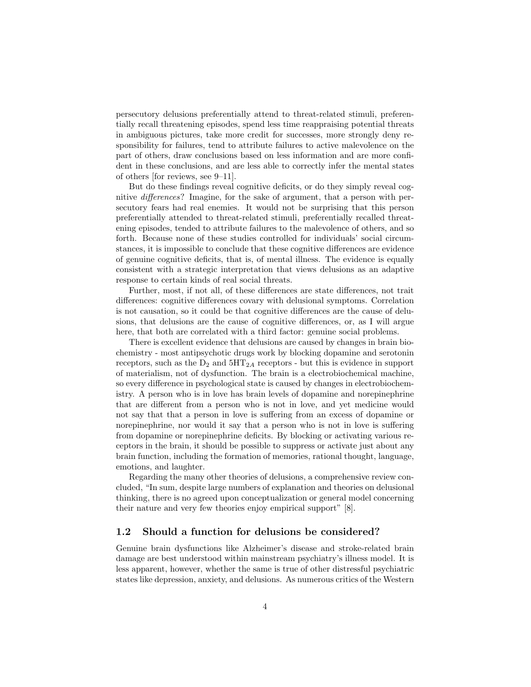persecutory delusions preferentially attend to threat-related stimuli, preferentially recall threatening episodes, spend less time reappraising potential threats in ambiguous pictures, take more credit for successes, more strongly deny responsibility for failures, tend to attribute failures to active malevolence on the part of others, draw conclusions based on less information and are more confident in these conclusions, and are less able to correctly infer the mental states of others [for reviews, see 9–11].

But do these findings reveal cognitive deficits, or do they simply reveal cognitive differences? Imagine, for the sake of argument, that a person with persecutory fears had real enemies. It would not be surprising that this person preferentially attended to threat-related stimuli, preferentially recalled threatening episodes, tended to attribute failures to the malevolence of others, and so forth. Because none of these studies controlled for individuals' social circumstances, it is impossible to conclude that these cognitive differences are evidence of genuine cognitive deficits, that is, of mental illness. The evidence is equally consistent with a strategic interpretation that views delusions as an adaptive response to certain kinds of real social threats.

Further, most, if not all, of these differences are state differences, not trait differences: cognitive differences covary with delusional symptoms. Correlation is not causation, so it could be that cognitive differences are the cause of delusions, that delusions are the cause of cognitive differences, or, as I will argue here, that both are correlated with a third factor: genuine social problems.

There is excellent evidence that delusions are caused by changes in brain biochemistry - most antipsychotic drugs work by blocking dopamine and serotonin receptors, such as the  $D_2$  and  $5HT_{2A}$  receptors - but this is evidence in support of materialism, not of dysfunction. The brain is a electrobiochemical machine, so every difference in psychological state is caused by changes in electrobiochemistry. A person who is in love has brain levels of dopamine and norepinephrine that are different from a person who is not in love, and yet medicine would not say that that a person in love is suffering from an excess of dopamine or norepinephrine, nor would it say that a person who is not in love is suffering from dopamine or norepinephrine deficits. By blocking or activating various receptors in the brain, it should be possible to suppress or activate just about any brain function, including the formation of memories, rational thought, language, emotions, and laughter.

Regarding the many other theories of delusions, a comprehensive review concluded, "In sum, despite large numbers of explanation and theories on delusional thinking, there is no agreed upon conceptualization or general model concerning their nature and very few theories enjoy empirical support" [8].

### 1.2 Should a function for delusions be considered?

Genuine brain dysfunctions like Alzheimer's disease and stroke-related brain damage are best understood within mainstream psychiatry's illness model. It is less apparent, however, whether the same is true of other distressful psychiatric states like depression, anxiety, and delusions. As numerous critics of the Western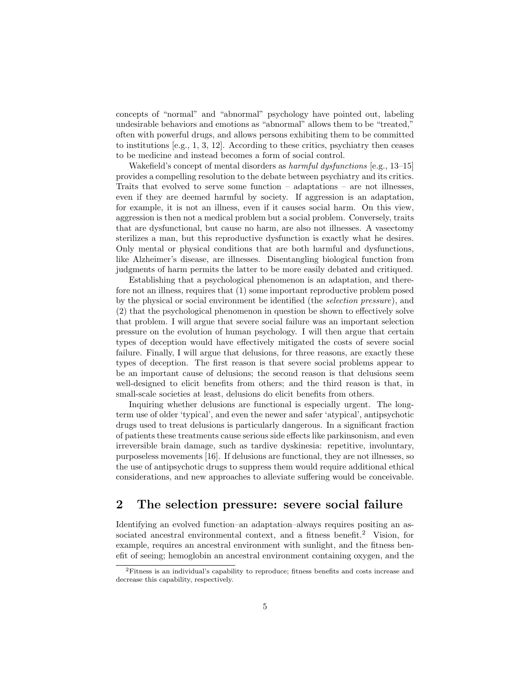concepts of "normal" and "abnormal" psychology have pointed out, labeling undesirable behaviors and emotions as "abnormal" allows them to be "treated," often with powerful drugs, and allows persons exhibiting them to be committed to institutions [e.g., 1, 3, 12]. According to these critics, psychiatry then ceases to be medicine and instead becomes a form of social control.

Wakefield's concept of mental disorders as *harmful dysfunctions* [e.g., 13–15] provides a compelling resolution to the debate between psychiatry and its critics. Traits that evolved to serve some function – adaptations – are not illnesses, even if they are deemed harmful by society. If aggression is an adaptation, for example, it is not an illness, even if it causes social harm. On this view, aggression is then not a medical problem but a social problem. Conversely, traits that are dysfunctional, but cause no harm, are also not illnesses. A vasectomy sterilizes a man, but this reproductive dysfunction is exactly what he desires. Only mental or physical conditions that are both harmful and dysfunctions, like Alzheimer's disease, are illnesses. Disentangling biological function from judgments of harm permits the latter to be more easily debated and critiqued.

Establishing that a psychological phenomenon is an adaptation, and therefore not an illness, requires that (1) some important reproductive problem posed by the physical or social environment be identified (the selection pressure), and (2) that the psychological phenomenon in question be shown to effectively solve that problem. I will argue that severe social failure was an important selection pressure on the evolution of human psychology. I will then argue that certain types of deception would have effectively mitigated the costs of severe social failure. Finally, I will argue that delusions, for three reasons, are exactly these types of deception. The first reason is that severe social problems appear to be an important cause of delusions; the second reason is that delusions seem well-designed to elicit benefits from others; and the third reason is that, in small-scale societies at least, delusions do elicit benefits from others.

Inquiring whether delusions are functional is especially urgent. The longterm use of older 'typical', and even the newer and safer 'atypical', antipsychotic drugs used to treat delusions is particularly dangerous. In a significant fraction of patients these treatments cause serious side effects like parkinsonism, and even irreversible brain damage, such as tardive dyskinesia: repetitive, involuntary, purposeless movements [16]. If delusions are functional, they are not illnesses, so the use of antipsychotic drugs to suppress them would require additional ethical considerations, and new approaches to alleviate suffering would be conceivable.

# 2 The selection pressure: severe social failure

Identifying an evolved function–an adaptation–always requires positing an associated ancestral environmental context, and a fitness benefit.<sup>2</sup> Vision, for example, requires an ancestral environment with sunlight, and the fitness benefit of seeing; hemoglobin an ancestral environment containing oxygen, and the

 $^{2}$  Fitness is an individual's capability to reproduce; fitness benefits and costs increase and decrease this capability, respectively.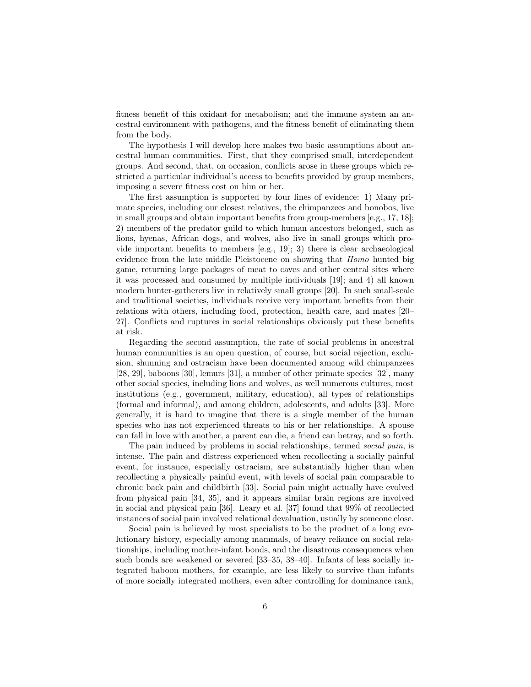fitness benefit of this oxidant for metabolism; and the immune system an ancestral environment with pathogens, and the fitness benefit of eliminating them from the body.

The hypothesis I will develop here makes two basic assumptions about ancestral human communities. First, that they comprised small, interdependent groups. And second, that, on occasion, conflicts arose in these groups which restricted a particular individual's access to benefits provided by group members, imposing a severe fitness cost on him or her.

The first assumption is supported by four lines of evidence: 1) Many primate species, including our closest relatives, the chimpanzees and bonobos, live in small groups and obtain important benefits from group-members [e.g., 17, 18]; 2) members of the predator guild to which human ancestors belonged, such as lions, hyenas, African dogs, and wolves, also live in small groups which provide important benefits to members  $[e.g., 19]$ ; 3) there is clear archaeological evidence from the late middle Pleistocene on showing that Homo hunted big game, returning large packages of meat to caves and other central sites where it was processed and consumed by multiple individuals [19]; and 4) all known modern hunter-gatherers live in relatively small groups [20]. In such small-scale and traditional societies, individuals receive very important benefits from their relations with others, including food, protection, health care, and mates [20– 27]. Conflicts and ruptures in social relationships obviously put these benefits at risk.

Regarding the second assumption, the rate of social problems in ancestral human communities is an open question, of course, but social rejection, exclusion, shunning and ostracism have been documented among wild chimpanzees [28, 29], baboons [30], lemurs [31], a number of other primate species [32], many other social species, including lions and wolves, as well numerous cultures, most institutions (e.g., government, military, education), all types of relationships (formal and informal), and among children, adolescents, and adults [33]. More generally, it is hard to imagine that there is a single member of the human species who has not experienced threats to his or her relationships. A spouse can fall in love with another, a parent can die, a friend can betray, and so forth.

The pain induced by problems in social relationships, termed social pain, is intense. The pain and distress experienced when recollecting a socially painful event, for instance, especially ostracism, are substantially higher than when recollecting a physically painful event, with levels of social pain comparable to chronic back pain and childbirth [33]. Social pain might actually have evolved from physical pain [34, 35], and it appears similar brain regions are involved in social and physical pain [36]. Leary et al. [37] found that 99% of recollected instances of social pain involved relational devaluation, usually by someone close.

Social pain is believed by most specialists to be the product of a long evolutionary history, especially among mammals, of heavy reliance on social relationships, including mother-infant bonds, and the disastrous consequences when such bonds are weakened or severed [33–35, 38–40]. Infants of less socially integrated baboon mothers, for example, are less likely to survive than infants of more socially integrated mothers, even after controlling for dominance rank,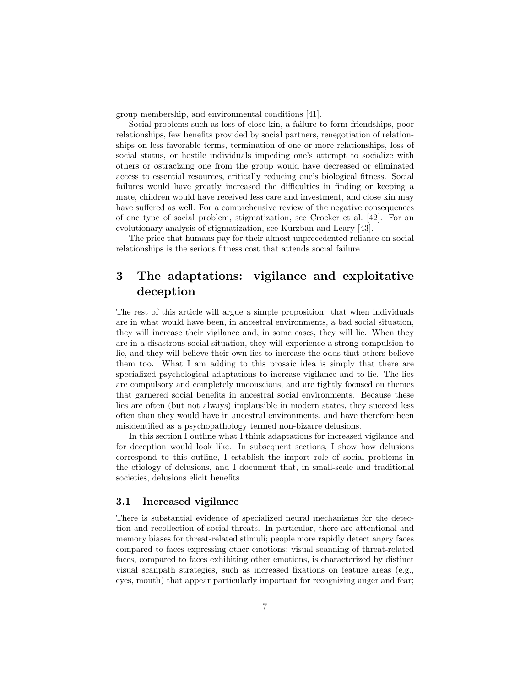group membership, and environmental conditions [41].

Social problems such as loss of close kin, a failure to form friendships, poor relationships, few benefits provided by social partners, renegotiation of relationships on less favorable terms, termination of one or more relationships, loss of social status, or hostile individuals impeding one's attempt to socialize with others or ostracizing one from the group would have decreased or eliminated access to essential resources, critically reducing one's biological fitness. Social failures would have greatly increased the difficulties in finding or keeping a mate, children would have received less care and investment, and close kin may have suffered as well. For a comprehensive review of the negative consequences of one type of social problem, stigmatization, see Crocker et al. [42]. For an evolutionary analysis of stigmatization, see Kurzban and Leary [43].

The price that humans pay for their almost unprecedented reliance on social relationships is the serious fitness cost that attends social failure.

# 3 The adaptations: vigilance and exploitative deception

The rest of this article will argue a simple proposition: that when individuals are in what would have been, in ancestral environments, a bad social situation, they will increase their vigilance and, in some cases, they will lie. When they are in a disastrous social situation, they will experience a strong compulsion to lie, and they will believe their own lies to increase the odds that others believe them too. What I am adding to this prosaic idea is simply that there are specialized psychological adaptations to increase vigilance and to lie. The lies are compulsory and completely unconscious, and are tightly focused on themes that garnered social benefits in ancestral social environments. Because these lies are often (but not always) implausible in modern states, they succeed less often than they would have in ancestral environments, and have therefore been misidentified as a psychopathology termed non-bizarre delusions.

In this section I outline what I think adaptations for increased vigilance and for deception would look like. In subsequent sections, I show how delusions correspond to this outline, I establish the import role of social problems in the etiology of delusions, and I document that, in small-scale and traditional societies, delusions elicit benefits.

#### 3.1 Increased vigilance

There is substantial evidence of specialized neural mechanisms for the detection and recollection of social threats. In particular, there are attentional and memory biases for threat-related stimuli; people more rapidly detect angry faces compared to faces expressing other emotions; visual scanning of threat-related faces, compared to faces exhibiting other emotions, is characterized by distinct visual scanpath strategies, such as increased fixations on feature areas (e.g., eyes, mouth) that appear particularly important for recognizing anger and fear;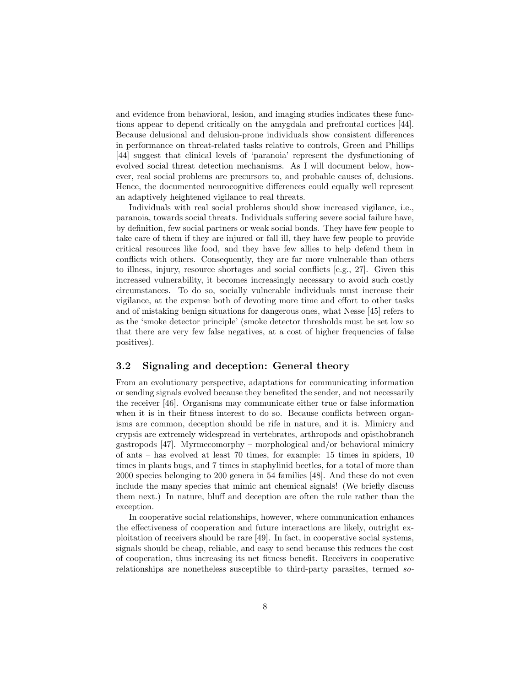and evidence from behavioral, lesion, and imaging studies indicates these functions appear to depend critically on the amygdala and prefrontal cortices [44]. Because delusional and delusion-prone individuals show consistent differences in performance on threat-related tasks relative to controls, Green and Phillips [44] suggest that clinical levels of 'paranoia' represent the dysfunctioning of evolved social threat detection mechanisms. As I will document below, however, real social problems are precursors to, and probable causes of, delusions. Hence, the documented neurocognitive differences could equally well represent an adaptively heightened vigilance to real threats.

Individuals with real social problems should show increased vigilance, i.e., paranoia, towards social threats. Individuals suffering severe social failure have, by definition, few social partners or weak social bonds. They have few people to take care of them if they are injured or fall ill, they have few people to provide critical resources like food, and they have few allies to help defend them in conflicts with others. Consequently, they are far more vulnerable than others to illness, injury, resource shortages and social conflicts [e.g., 27]. Given this increased vulnerability, it becomes increasingly necessary to avoid such costly circumstances. To do so, socially vulnerable individuals must increase their vigilance, at the expense both of devoting more time and effort to other tasks and of mistaking benign situations for dangerous ones, what Nesse [45] refers to as the 'smoke detector principle' (smoke detector thresholds must be set low so that there are very few false negatives, at a cost of higher frequencies of false positives).

#### 3.2 Signaling and deception: General theory

From an evolutionary perspective, adaptations for communicating information or sending signals evolved because they benefited the sender, and not necessarily the receiver [46]. Organisms may communicate either true or false information when it is in their fitness interest to do so. Because conflicts between organisms are common, deception should be rife in nature, and it is. Mimicry and crypsis are extremely widespread in vertebrates, arthropods and opisthobranch gastropods [47]. Myrmecomorphy – morphological and/or behavioral mimicry of ants – has evolved at least 70 times, for example: 15 times in spiders, 10 times in plants bugs, and 7 times in staphylinid beetles, for a total of more than 2000 species belonging to 200 genera in 54 families [48]. And these do not even include the many species that mimic ant chemical signals! (We briefly discuss them next.) In nature, bluff and deception are often the rule rather than the exception.

In cooperative social relationships, however, where communication enhances the effectiveness of cooperation and future interactions are likely, outright exploitation of receivers should be rare [49]. In fact, in cooperative social systems, signals should be cheap, reliable, and easy to send because this reduces the cost of cooperation, thus increasing its net fitness benefit. Receivers in cooperative relationships are nonetheless susceptible to third-party parasites, termed so-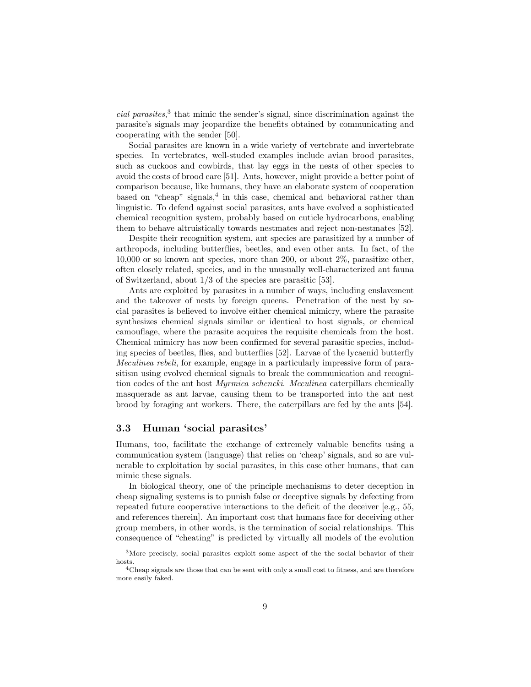cial parasites, 3 that mimic the sender's signal, since discrimination against the parasite's signals may jeopardize the benefits obtained by communicating and cooperating with the sender [50].

Social parasites are known in a wide variety of vertebrate and invertebrate species. In vertebrates, well-studed examples include avian brood parasites, such as cuckoos and cowbirds, that lay eggs in the nests of other species to avoid the costs of brood care [51]. Ants, however, might provide a better point of comparison because, like humans, they have an elaborate system of cooperation based on "cheap" signals,<sup>4</sup> in this case, chemical and behavioral rather than linguistic. To defend against social parasites, ants have evolved a sophisticated chemical recognition system, probably based on cuticle hydrocarbons, enabling them to behave altruistically towards nestmates and reject non-nestmates [52].

Despite their recognition system, ant species are parasitized by a number of arthropods, including butterflies, beetles, and even other ants. In fact, of the 10,000 or so known ant species, more than 200, or about 2%, parasitize other, often closely related, species, and in the unusually well-characterized ant fauna of Switzerland, about 1/3 of the species are parasitic [53].

Ants are exploited by parasites in a number of ways, including enslavement and the takeover of nests by foreign queens. Penetration of the nest by social parasites is believed to involve either chemical mimicry, where the parasite synthesizes chemical signals similar or identical to host signals, or chemical camouflage, where the parasite acquires the requisite chemicals from the host. Chemical mimicry has now been confirmed for several parasitic species, including species of beetles, flies, and butterflies [52]. Larvae of the lycaenid butterfly Meculinea rebeli, for example, engage in a particularly impressive form of parasitism using evolved chemical signals to break the communication and recognition codes of the ant host Myrmica schencki. Meculinea caterpillars chemically masquerade as ant larvae, causing them to be transported into the ant nest brood by foraging ant workers. There, the caterpillars are fed by the ants [54].

### 3.3 Human 'social parasites'

Humans, too, facilitate the exchange of extremely valuable benefits using a communication system (language) that relies on 'cheap' signals, and so are vulnerable to exploitation by social parasites, in this case other humans, that can mimic these signals.

In biological theory, one of the principle mechanisms to deter deception in cheap signaling systems is to punish false or deceptive signals by defecting from repeated future cooperative interactions to the deficit of the deceiver [e.g., 55, and references therein]. An important cost that humans face for deceiving other group members, in other words, is the termination of social relationships. This consequence of "cheating" is predicted by virtually all models of the evolution

<sup>&</sup>lt;sup>3</sup>More precisely, social parasites exploit some aspect of the the social behavior of their hosts.

 $4$ Cheap signals are those that can be sent with only a small cost to fitness, and are therefore more easily faked.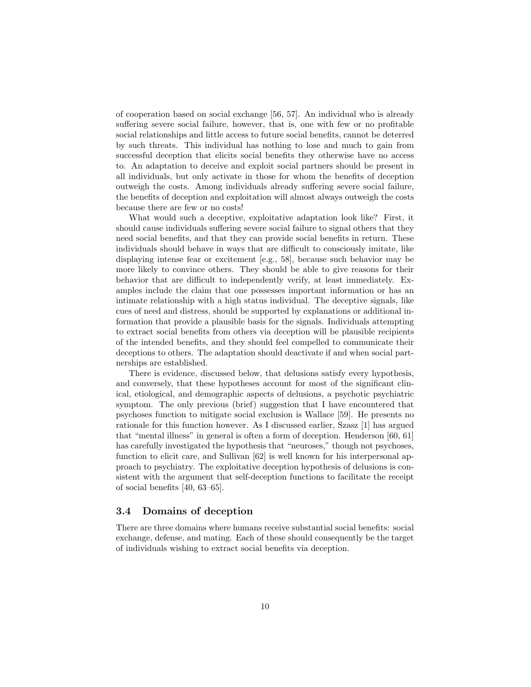of cooperation based on social exchange [56, 57]. An individual who is already suffering severe social failure, however, that is, one with few or no profitable social relationships and little access to future social benefits, cannot be deterred by such threats. This individual has nothing to lose and much to gain from successful deception that elicits social benefits they otherwise have no access to. An adaptation to deceive and exploit social partners should be present in all individuals, but only activate in those for whom the benefits of deception outweigh the costs. Among individuals already suffering severe social failure, the benefits of deception and exploitation will almost always outweigh the costs because there are few or no costs!

What would such a deceptive, exploitative adaptation look like? First, it should cause individuals suffering severe social failure to signal others that they need social benefits, and that they can provide social benefits in return. These individuals should behave in ways that are difficult to consciously imitate, like displaying intense fear or excitement [e.g., 58], because such behavior may be more likely to convince others. They should be able to give reasons for their behavior that are difficult to independently verify, at least immediately. Examples include the claim that one possesses important information or has an intimate relationship with a high status individual. The deceptive signals, like cues of need and distress, should be supported by explanations or additional information that provide a plausible basis for the signals. Individuals attempting to extract social benefits from others via deception will be plausible recipients of the intended benefits, and they should feel compelled to communicate their deceptions to others. The adaptation should deactivate if and when social partnerships are established.

There is evidence, discussed below, that delusions satisfy every hypothesis, and conversely, that these hypotheses account for most of the significant clinical, etiological, and demographic aspects of delusions, a psychotic psychiatric symptom. The only previous (brief) suggestion that I have encountered that psychoses function to mitigate social exclusion is Wallace [59]. He presents no rationale for this function however. As I discussed earlier, Szasz [1] has argued that "mental illness" in general is often a form of deception. Henderson [60, 61] has carefully investigated the hypothesis that "neuroses," though not psychoses, function to elicit care, and Sullivan [62] is well known for his interpersonal approach to psychiatry. The exploitative deception hypothesis of delusions is consistent with the argument that self-deception functions to facilitate the receipt of social benefits [40, 63–65].

#### 3.4 Domains of deception

There are three domains where humans receive substantial social benefits: social exchange, defense, and mating. Each of these should consequently be the target of individuals wishing to extract social benefits via deception.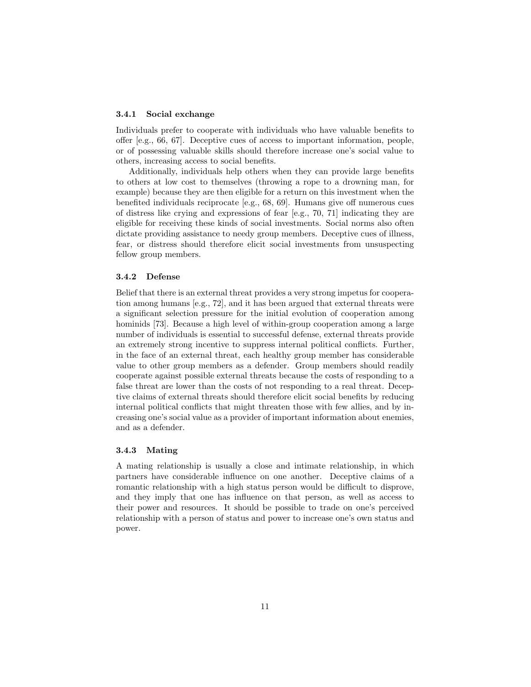#### 3.4.1 Social exchange

Individuals prefer to cooperate with individuals who have valuable benefits to offer [e.g., 66, 67]. Deceptive cues of access to important information, people, or of possessing valuable skills should therefore increase one's social value to others, increasing access to social benefits.

Additionally, individuals help others when they can provide large benefits to others at low cost to themselves (throwing a rope to a drowning man, for example) because they are then eligible for a return on this investment when the benefited individuals reciprocate [e.g., 68, 69]. Humans give off numerous cues of distress like crying and expressions of fear [e.g., 70, 71] indicating they are eligible for receiving these kinds of social investments. Social norms also often dictate providing assistance to needy group members. Deceptive cues of illness, fear, or distress should therefore elicit social investments from unsuspecting fellow group members.

#### 3.4.2 Defense

Belief that there is an external threat provides a very strong impetus for cooperation among humans [e.g., 72], and it has been argued that external threats were a significant selection pressure for the initial evolution of cooperation among hominids [73]. Because a high level of within-group cooperation among a large number of individuals is essential to successful defense, external threats provide an extremely strong incentive to suppress internal political conflicts. Further, in the face of an external threat, each healthy group member has considerable value to other group members as a defender. Group members should readily cooperate against possible external threats because the costs of responding to a false threat are lower than the costs of not responding to a real threat. Deceptive claims of external threats should therefore elicit social benefits by reducing internal political conflicts that might threaten those with few allies, and by increasing one's social value as a provider of important information about enemies, and as a defender.

### 3.4.3 Mating

A mating relationship is usually a close and intimate relationship, in which partners have considerable influence on one another. Deceptive claims of a romantic relationship with a high status person would be difficult to disprove, and they imply that one has influence on that person, as well as access to their power and resources. It should be possible to trade on one's perceived relationship with a person of status and power to increase one's own status and power.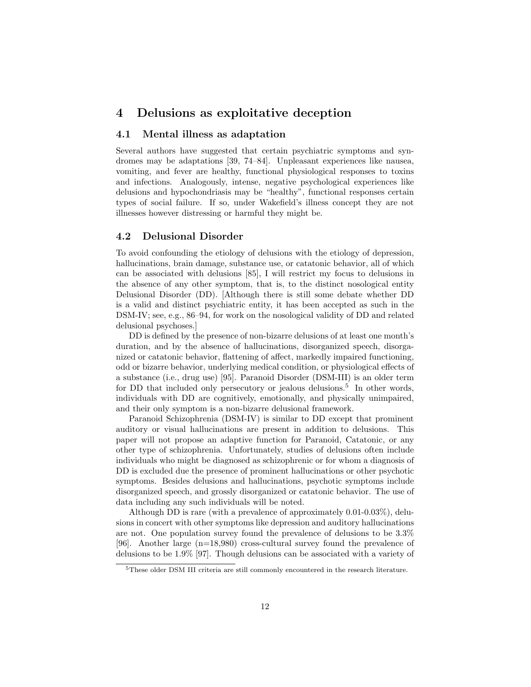## 4 Delusions as exploitative deception

### 4.1 Mental illness as adaptation

Several authors have suggested that certain psychiatric symptoms and syndromes may be adaptations [39, 74–84]. Unpleasant experiences like nausea, vomiting, and fever are healthy, functional physiological responses to toxins and infections. Analogously, intense, negative psychological experiences like delusions and hypochondriasis may be "healthy", functional responses certain types of social failure. If so, under Wakefield's illness concept they are not illnesses however distressing or harmful they might be.

#### 4.2 Delusional Disorder

To avoid confounding the etiology of delusions with the etiology of depression, hallucinations, brain damage, substance use, or catatonic behavior, all of which can be associated with delusions [85], I will restrict my focus to delusions in the absence of any other symptom, that is, to the distinct nosological entity Delusional Disorder (DD). [Although there is still some debate whether DD is a valid and distinct psychiatric entity, it has been accepted as such in the DSM-IV; see, e.g., 86–94, for work on the nosological validity of DD and related delusional psychoses.]

DD is defined by the presence of non-bizarre delusions of at least one month's duration, and by the absence of hallucinations, disorganized speech, disorganized or catatonic behavior, flattening of affect, markedly impaired functioning, odd or bizarre behavior, underlying medical condition, or physiological effects of a substance (i.e., drug use) [95]. Paranoid Disorder (DSM-III) is an older term for DD that included only persecutory or jealous delusions.<sup>5</sup> In other words, individuals with DD are cognitively, emotionally, and physically unimpaired, and their only symptom is a non-bizarre delusional framework.

Paranoid Schizophrenia (DSM-IV) is similar to DD except that prominent auditory or visual hallucinations are present in addition to delusions. This paper will not propose an adaptive function for Paranoid, Catatonic, or any other type of schizophrenia. Unfortunately, studies of delusions often include individuals who might be diagnosed as schizophrenic or for whom a diagnosis of DD is excluded due the presence of prominent hallucinations or other psychotic symptoms. Besides delusions and hallucinations, psychotic symptoms include disorganized speech, and grossly disorganized or catatonic behavior. The use of data including any such individuals will be noted.

Although DD is rare (with a prevalence of approximately 0.01-0.03%), delusions in concert with other symptoms like depression and auditory hallucinations are not. One population survey found the prevalence of delusions to be 3.3% [96]. Another large (n=18,980) cross-cultural survey found the prevalence of delusions to be 1.9% [97]. Though delusions can be associated with a variety of

<sup>5</sup>These older DSM III criteria are still commonly encountered in the research literature.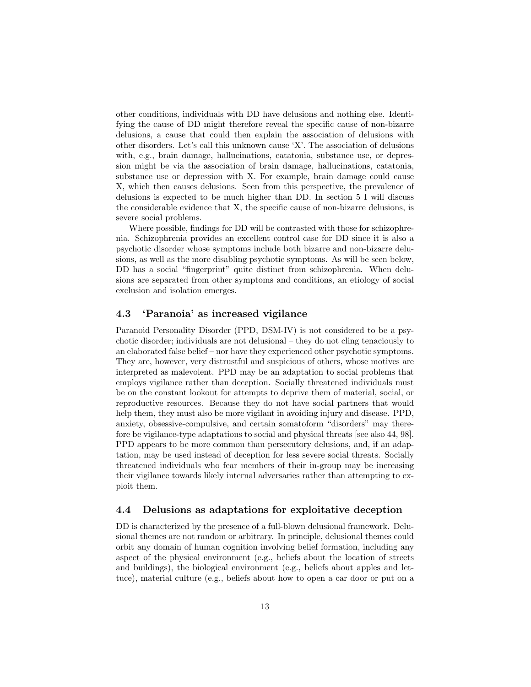other conditions, individuals with DD have delusions and nothing else. Identifying the cause of DD might therefore reveal the specific cause of non-bizarre delusions, a cause that could then explain the association of delusions with other disorders. Let's call this unknown cause 'X'. The association of delusions with, e.g., brain damage, hallucinations, catatonia, substance use, or depression might be via the association of brain damage, hallucinations, catatonia, substance use or depression with X. For example, brain damage could cause X, which then causes delusions. Seen from this perspective, the prevalence of delusions is expected to be much higher than DD. In section 5 I will discuss the considerable evidence that X, the specific cause of non-bizarre delusions, is severe social problems.

Where possible, findings for DD will be contrasted with those for schizophrenia. Schizophrenia provides an excellent control case for DD since it is also a psychotic disorder whose symptoms include both bizarre and non-bizarre delusions, as well as the more disabling psychotic symptoms. As will be seen below, DD has a social "fingerprint" quite distinct from schizophrenia. When delusions are separated from other symptoms and conditions, an etiology of social exclusion and isolation emerges.

### 4.3 'Paranoia' as increased vigilance

Paranoid Personality Disorder (PPD, DSM-IV) is not considered to be a psychotic disorder; individuals are not delusional – they do not cling tenaciously to an elaborated false belief – nor have they experienced other psychotic symptoms. They are, however, very distrustful and suspicious of others, whose motives are interpreted as malevolent. PPD may be an adaptation to social problems that employs vigilance rather than deception. Socially threatened individuals must be on the constant lookout for attempts to deprive them of material, social, or reproductive resources. Because they do not have social partners that would help them, they must also be more vigilant in avoiding injury and disease. PPD, anxiety, obsessive-compulsive, and certain somatoform "disorders" may therefore be vigilance-type adaptations to social and physical threats [see also 44, 98]. PPD appears to be more common than persecutory delusions, and, if an adaptation, may be used instead of deception for less severe social threats. Socially threatened individuals who fear members of their in-group may be increasing their vigilance towards likely internal adversaries rather than attempting to exploit them.

### 4.4 Delusions as adaptations for exploitative deception

DD is characterized by the presence of a full-blown delusional framework. Delusional themes are not random or arbitrary. In principle, delusional themes could orbit any domain of human cognition involving belief formation, including any aspect of the physical environment (e.g., beliefs about the location of streets and buildings), the biological environment (e.g., beliefs about apples and lettuce), material culture (e.g., beliefs about how to open a car door or put on a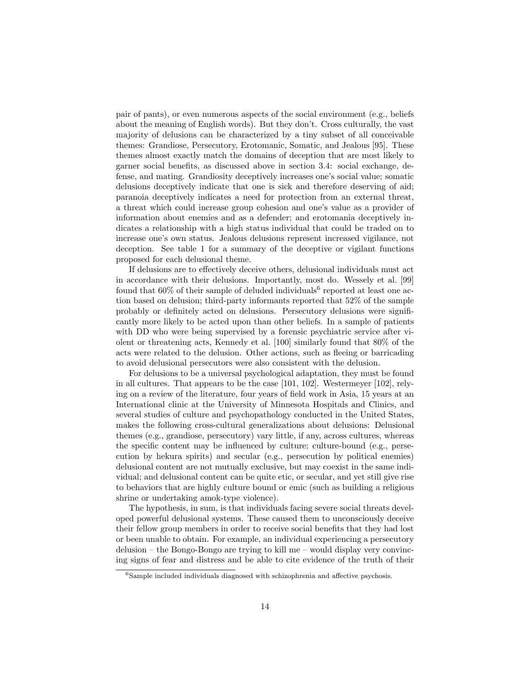pair of pants), or even numerous aspects of the social environment (e.g., beliefs about the meaning of English words). But they don't. Cross culturally, the vast majority of delusions can be characterized by a tiny subset of all conceivable themes: Grandiose, Persecutory, Erotomanic, Somatic, and Jealous [95]. These themes almost exactly match the domains of deception that are most likely to garner social benefits, as discussed above in section 3.4: social exchange, defense, and mating. Grandiosity deceptively increases one's social value; somatic delusions deceptively indicate that one is sick and therefore deserving of aid; paranoia deceptively indicates a need for protection from an external threat, a threat which could increase group cohesion and one's value as a provider of information about enemies and as a defender; and erotomania deceptively indicates a relationship with a high status individual that could be traded on to increase one's own status. Jealous delusions represent increased vigilance, not deception. See table 1 for a summary of the deceptive or vigilant functions proposed for each delusional theme.

If delusions are to effectively deceive others, delusional individuals must act in accordance with their delusions. Importantly, most do. Wessely et al. [99] found that  $60\%$  of their sample of deluded individuals<sup>6</sup> reported at least one action based on delusion; third-party informants reported that 52% of the sample probably or definitely acted on delusions. Persecutory delusions were significantly more likely to be acted upon than other beliefs. In a sample of patients with DD who were being supervised by a forensic psychiatric service after violent or threatening acts, Kennedy et al. [100] similarly found that 80% of the acts were related to the delusion. Other actions, such as fleeing or barricading to avoid delusional persecutors were also consistent with the delusion.

For delusions to be a universal psychological adaptation, they must be found in all cultures. That appears to be the case [101, 102]. Westermeyer [102], relying on a review of the literature, four years of field work in Asia, 15 years at an International clinic at the University of Minnesota Hospitals and Clinics, and several studies of culture and psychopathology conducted in the United States, makes the following cross-cultural generalizations about delusions: Delusional themes (e.g., grandiose, persecutory) vary little, if any, across cultures, whereas the specific content may be influenced by culture; culture-bound (e.g., persecution by hekura spirits) and secular (e.g., persecution by political enemies) delusional content are not mutually exclusive, but may coexist in the same individual; and delusional content can be quite etic, or secular, and yet still give rise to behaviors that are highly culture bound or emic (such as building a religious shrine or undertaking amok-type violence).

The hypothesis, in sum, is that individuals facing severe social threats developed powerful delusional systems. These caused them to unconsciously deceive their fellow group members in order to receive social benefits that they had lost or been unable to obtain. For example, an individual experiencing a persecutory delusion – the Bongo-Bongo are trying to kill me – would display very convincing signs of fear and distress and be able to cite evidence of the truth of their

 $6$ Sample included individuals diagnosed with schizophrenia and affective psychosis.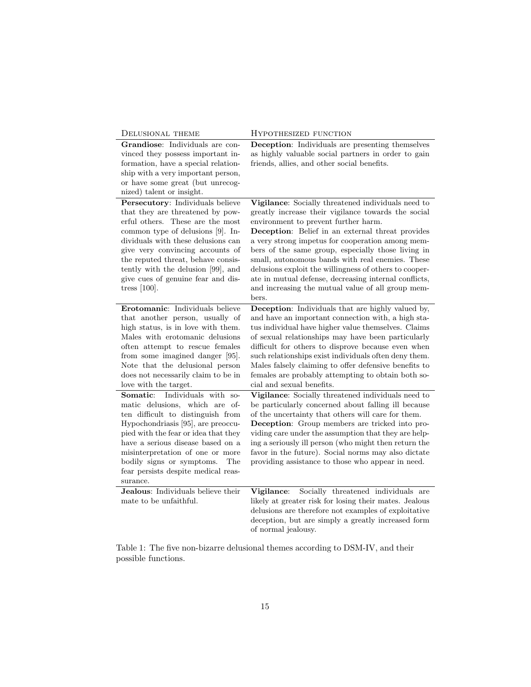| DELUSIONAL THEME                                                                                                                                                                                                                                                                                                                                             | HYPOTHESIZED FUNCTION                                                                                                                                                                                                                                                                                                                                                                                                                                                                                                                                |
|--------------------------------------------------------------------------------------------------------------------------------------------------------------------------------------------------------------------------------------------------------------------------------------------------------------------------------------------------------------|------------------------------------------------------------------------------------------------------------------------------------------------------------------------------------------------------------------------------------------------------------------------------------------------------------------------------------------------------------------------------------------------------------------------------------------------------------------------------------------------------------------------------------------------------|
| Grandiose: Individuals are con-<br>vinced they possess important in-<br>formation, have a special relation-<br>ship with a very important person,<br>or have some great (but unrecog-<br>nized) talent or insight.                                                                                                                                           | Deception: Individuals are presenting themselves<br>as highly valuable social partners in order to gain<br>friends, allies, and other social benefits.                                                                                                                                                                                                                                                                                                                                                                                               |
| Persecutory: Individuals believe<br>that they are threatened by pow-<br>erful others. These are the most<br>common type of delusions [9]. In-<br>dividuals with these delusions can<br>give very convincing accounts of<br>the reputed threat, behave consis-<br>tently with the delusion [99], and<br>give cues of genuine fear and dis-<br>tress $[100]$ . | Vigilance: Socially threatened individuals need to<br>greatly increase their vigilance towards the social<br>environment to prevent further harm.<br>Deception: Belief in an external threat provides<br>a very strong impetus for cooperation among mem-<br>bers of the same group, especially those living in<br>small, autonomous bands with real enemies. These<br>delusions exploit the willingness of others to cooper-<br>ate in mutual defense, decreasing internal conflicts,<br>and increasing the mutual value of all group mem-<br>bers. |
| Erotomanic: Individuals believe<br>that another person, usually of<br>high status, is in love with them.<br>Males with erotomanic delusions<br>often attempt to rescue females<br>from some imagined danger [95].<br>Note that the delusional person<br>does not necessarily claim to be in<br>love with the target.                                         | Deception: Individuals that are highly valued by,<br>and have an important connection with, a high sta-<br>tus individual have higher value themselves. Claims<br>of sexual relationships may have been particularly<br>difficult for others to disprove because even when<br>such relationships exist individuals often deny them.<br>Males falsely claiming to offer defensive benefits to<br>females are probably attempting to obtain both so-<br>cial and sexual benefits.                                                                      |
| Somatic:<br>Individuals with so-<br>matic delusions, which are of-<br>ten difficult to distinguish from<br>Hypochondriasis [95], are preoccu-<br>pied with the fear or idea that they<br>have a serious disease based on a<br>misinterpretation of one or more<br>bodily signs or symptoms.<br>The<br>fear persists despite medical reas-<br>surance.        | Vigilance: Socially threatened individuals need to<br>be particularly concerned about falling ill because<br>of the uncertainty that others will care for them.<br>Deception: Group members are tricked into pro-<br>viding care under the assumption that they are help-<br>ing a seriously ill person (who might then return the<br>favor in the future). Social norms may also dictate<br>providing assistance to those who appear in need.                                                                                                       |
| Jealous: Individuals believe their<br>mate to be unfaithful.                                                                                                                                                                                                                                                                                                 | Socially threatened individuals are<br>Vigilance:<br>likely at greater risk for losing their mates. Jealous<br>delusions are therefore not examples of exploitative<br>deception, but are simply a greatly increased form<br>of normal jealousy.                                                                                                                                                                                                                                                                                                     |

Table 1: The five non-bizarre delusional themes according to DSM-IV, and their possible functions.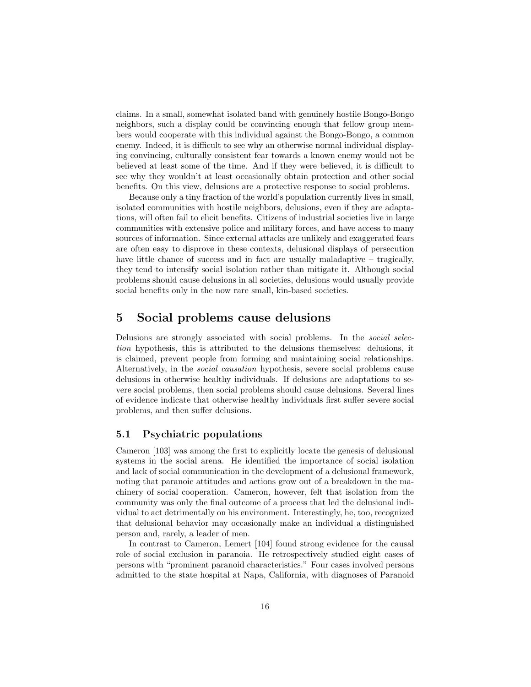claims. In a small, somewhat isolated band with genuinely hostile Bongo-Bongo neighbors, such a display could be convincing enough that fellow group members would cooperate with this individual against the Bongo-Bongo, a common enemy. Indeed, it is difficult to see why an otherwise normal individual displaying convincing, culturally consistent fear towards a known enemy would not be believed at least some of the time. And if they were believed, it is difficult to see why they wouldn't at least occasionally obtain protection and other social benefits. On this view, delusions are a protective response to social problems.

Because only a tiny fraction of the world's population currently lives in small, isolated communities with hostile neighbors, delusions, even if they are adaptations, will often fail to elicit benefits. Citizens of industrial societies live in large communities with extensive police and military forces, and have access to many sources of information. Since external attacks are unlikely and exaggerated fears are often easy to disprove in these contexts, delusional displays of persecution have little chance of success and in fact are usually maladaptive – tragically, they tend to intensify social isolation rather than mitigate it. Although social problems should cause delusions in all societies, delusions would usually provide social benefits only in the now rare small, kin-based societies.

## 5 Social problems cause delusions

Delusions are strongly associated with social problems. In the social selection hypothesis, this is attributed to the delusions themselves: delusions, it is claimed, prevent people from forming and maintaining social relationships. Alternatively, in the social causation hypothesis, severe social problems cause delusions in otherwise healthy individuals. If delusions are adaptations to severe social problems, then social problems should cause delusions. Several lines of evidence indicate that otherwise healthy individuals first suffer severe social problems, and then suffer delusions.

### 5.1 Psychiatric populations

Cameron [103] was among the first to explicitly locate the genesis of delusional systems in the social arena. He identified the importance of social isolation and lack of social communication in the development of a delusional framework, noting that paranoic attitudes and actions grow out of a breakdown in the machinery of social cooperation. Cameron, however, felt that isolation from the community was only the final outcome of a process that led the delusional individual to act detrimentally on his environment. Interestingly, he, too, recognized that delusional behavior may occasionally make an individual a distinguished person and, rarely, a leader of men.

In contrast to Cameron, Lemert [104] found strong evidence for the causal role of social exclusion in paranoia. He retrospectively studied eight cases of persons with "prominent paranoid characteristics." Four cases involved persons admitted to the state hospital at Napa, California, with diagnoses of Paranoid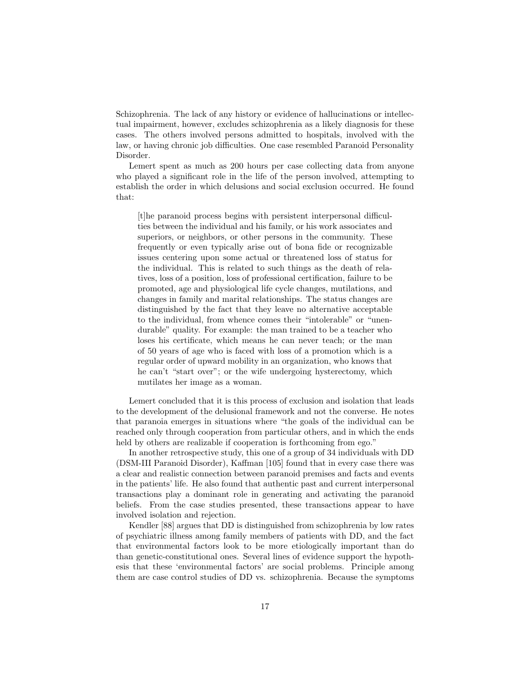Schizophrenia. The lack of any history or evidence of hallucinations or intellectual impairment, however, excludes schizophrenia as a likely diagnosis for these cases. The others involved persons admitted to hospitals, involved with the law, or having chronic job difficulties. One case resembled Paranoid Personality Disorder.

Lemert spent as much as 200 hours per case collecting data from anyone who played a significant role in the life of the person involved, attempting to establish the order in which delusions and social exclusion occurred. He found that:

[t]he paranoid process begins with persistent interpersonal difficulties between the individual and his family, or his work associates and superiors, or neighbors, or other persons in the community. These frequently or even typically arise out of bona fide or recognizable issues centering upon some actual or threatened loss of status for the individual. This is related to such things as the death of relatives, loss of a position, loss of professional certification, failure to be promoted, age and physiological life cycle changes, mutilations, and changes in family and marital relationships. The status changes are distinguished by the fact that they leave no alternative acceptable to the individual, from whence comes their "intolerable" or "unendurable" quality. For example: the man trained to be a teacher who loses his certificate, which means he can never teach; or the man of 50 years of age who is faced with loss of a promotion which is a regular order of upward mobility in an organization, who knows that he can't "start over"; or the wife undergoing hysterectomy, which mutilates her image as a woman.

Lemert concluded that it is this process of exclusion and isolation that leads to the development of the delusional framework and not the converse. He notes that paranoia emerges in situations where "the goals of the individual can be reached only through cooperation from particular others, and in which the ends held by others are realizable if cooperation is forthcoming from ego."

In another retrospective study, this one of a group of 34 individuals with DD (DSM-III Paranoid Disorder), Kaffman [105] found that in every case there was a clear and realistic connection between paranoid premises and facts and events in the patients' life. He also found that authentic past and current interpersonal transactions play a dominant role in generating and activating the paranoid beliefs. From the case studies presented, these transactions appear to have involved isolation and rejection.

Kendler [88] argues that DD is distinguished from schizophrenia by low rates of psychiatric illness among family members of patients with DD, and the fact that environmental factors look to be more etiologically important than do than genetic-constitutional ones. Several lines of evidence support the hypothesis that these 'environmental factors' are social problems. Principle among them are case control studies of DD vs. schizophrenia. Because the symptoms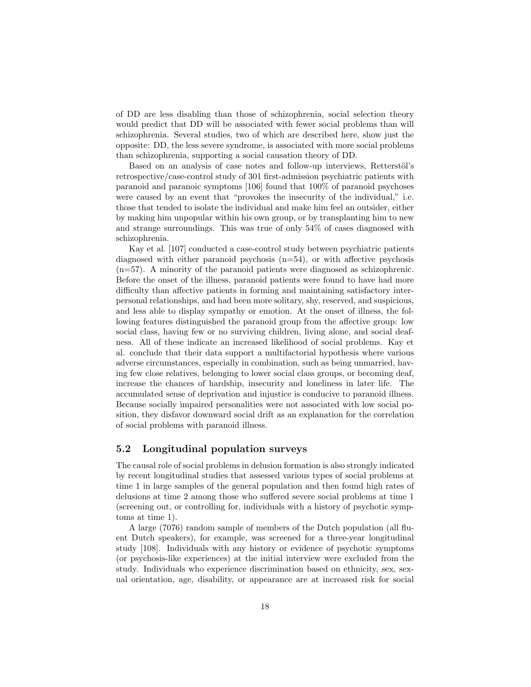of DD are less disabling than those of schizophrenia, social selection theory would predict that DD will be associated with fewer social problems than will schizophrenia. Several studies, two of which are described here, show just the opposite: DD, the less severe syndrome, is associated with more social problems than schizophrenia, supporting a social causation theory of DD.

Based on an analysis of case notes and follow-up interviews, Retterstöl's retrospective/case-control study of 301 first-admission psychiatric patients with paranoid and paranoic symptoms [106] found that 100% of paranoid psychoses were caused by an event that "provokes the insecurity of the individual," i.e. those that tended to isolate the individual and make him feel an outsider, either by making him unpopular within his own group, or by transplanting him to new and strange surroundings. This was true of only 54% of cases diagnosed with schizophrenia.

Kay et al. [107] conducted a case-control study between psychiatric patients diagnosed with either paranoid psychosis (n=54), or with affective psychosis (n=57). A minority of the paranoid patients were diagnosed as schizophrenic. Before the onset of the illness, paranoid patients were found to have had more difficulty than affective patients in forming and maintaining satisfactory interpersonal relationships, and had been more solitary, shy, reserved, and suspicious, and less able to display sympathy or emotion. At the onset of illness, the following features distinguished the paranoid group from the affective group: low social class, having few or no surviving children, living alone, and social deafness. All of these indicate an increased likelihood of social problems. Kay et al. conclude that their data support a multifactorial hypothesis where various adverse circumstances, especially in combination, such as being unmarried, having few close relatives, belonging to lower social class groups, or becoming deaf, increase the chances of hardship, insecurity and loneliness in later life. The accumulated sense of deprivation and injustice is conducive to paranoid illness. Because socially impaired personalities were not associated with low social position, they disfavor downward social drift as an explanation for the correlation of social problems with paranoid illness.

### 5.2 Longitudinal population surveys

The causal role of social problems in delusion formation is also strongly indicated by recent longitudinal studies that assessed various types of social problems at time 1 in large samples of the general population and then found high rates of delusions at time 2 among those who suffered severe social problems at time 1 (screening out, or controlling for, individuals with a history of psychotic symptoms at time 1).

A large (7076) random sample of members of the Dutch population (all fluent Dutch speakers), for example, was screened for a three-year longitudinal study [108]. Individuals with any history or evidence of psychotic symptoms (or psychosis-like experiences) at the initial interview were excluded from the study. Individuals who experience discrimination based on ethnicity, sex, sexual orientation, age, disability, or appearance are at increased risk for social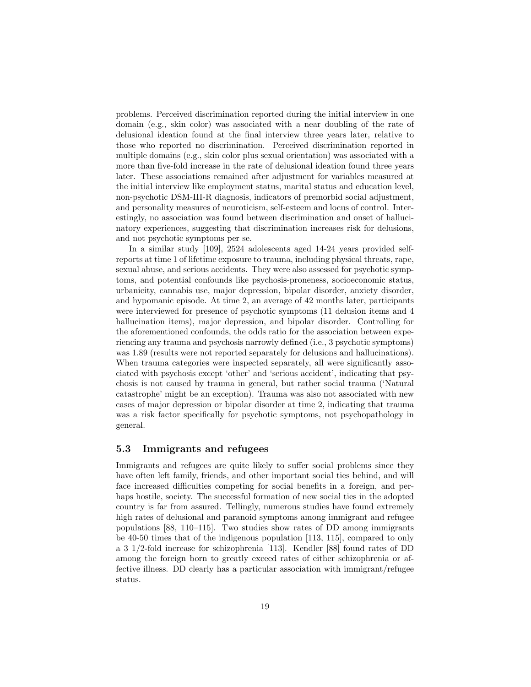problems. Perceived discrimination reported during the initial interview in one domain (e.g., skin color) was associated with a near doubling of the rate of delusional ideation found at the final interview three years later, relative to those who reported no discrimination. Perceived discrimination reported in multiple domains (e.g., skin color plus sexual orientation) was associated with a more than five-fold increase in the rate of delusional ideation found three years later. These associations remained after adjustment for variables measured at the initial interview like employment status, marital status and education level, non-psychotic DSM-III-R diagnosis, indicators of premorbid social adjustment, and personality measures of neuroticism, self-esteem and locus of control. Interestingly, no association was found between discrimination and onset of hallucinatory experiences, suggesting that discrimination increases risk for delusions, and not psychotic symptoms per se.

In a similar study [109], 2524 adolescents aged 14-24 years provided selfreports at time 1 of lifetime exposure to trauma, including physical threats, rape, sexual abuse, and serious accidents. They were also assessed for psychotic symptoms, and potential confounds like psychosis-proneness, socioeconomic status, urbanicity, cannabis use, major depression, bipolar disorder, anxiety disorder, and hypomanic episode. At time 2, an average of 42 months later, participants were interviewed for presence of psychotic symptoms (11 delusion items and 4 hallucination items), major depression, and bipolar disorder. Controlling for the aforementioned confounds, the odds ratio for the association between experiencing any trauma and psychosis narrowly defined (i.e., 3 psychotic symptoms) was 1.89 (results were not reported separately for delusions and hallucinations). When trauma categories were inspected separately, all were significantly associated with psychosis except 'other' and 'serious accident', indicating that psychosis is not caused by trauma in general, but rather social trauma ('Natural catastrophe' might be an exception). Trauma was also not associated with new cases of major depression or bipolar disorder at time 2, indicating that trauma was a risk factor specifically for psychotic symptoms, not psychopathology in general.

### 5.3 Immigrants and refugees

Immigrants and refugees are quite likely to suffer social problems since they have often left family, friends, and other important social ties behind, and will face increased difficulties competing for social benefits in a foreign, and perhaps hostile, society. The successful formation of new social ties in the adopted country is far from assured. Tellingly, numerous studies have found extremely high rates of delusional and paranoid symptoms among immigrant and refugee populations [88, 110–115]. Two studies show rates of DD among immigrants be 40-50 times that of the indigenous population [113, 115], compared to only a 3 1/2-fold increase for schizophrenia [113]. Kendler [88] found rates of DD among the foreign born to greatly exceed rates of either schizophrenia or affective illness. DD clearly has a particular association with immigrant/refugee status.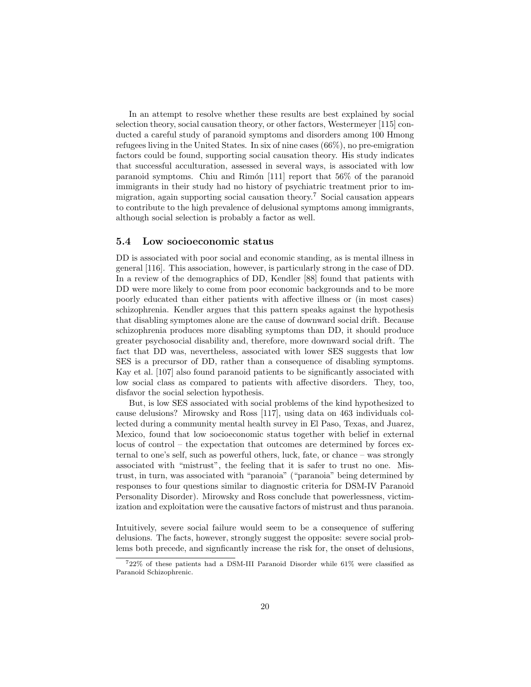In an attempt to resolve whether these results are best explained by social selection theory, social causation theory, or other factors, Westermeyer [115] conducted a careful study of paranoid symptoms and disorders among 100 Hmong refugees living in the United States. In six of nine cases (66%), no pre-emigration factors could be found, supporting social causation theory. His study indicates that successful acculturation, assessed in several ways, is associated with low paranoid symptoms. Chiu and Rim´on [111] report that 56% of the paranoid immigrants in their study had no history of psychiatric treatment prior to immigration, again supporting social causation theory.<sup>7</sup> Social causation appears to contribute to the high prevalence of delusional symptoms among immigrants, although social selection is probably a factor as well.

### 5.4 Low socioeconomic status

DD is associated with poor social and economic standing, as is mental illness in general [116]. This association, however, is particularly strong in the case of DD. In a review of the demographics of DD, Kendler [88] found that patients with DD were more likely to come from poor economic backgrounds and to be more poorly educated than either patients with affective illness or (in most cases) schizophrenia. Kendler argues that this pattern speaks against the hypothesis that disabling symptomes alone are the cause of downward social drift. Because schizophrenia produces more disabling symptoms than DD, it should produce greater psychosocial disability and, therefore, more downward social drift. The fact that DD was, nevertheless, associated with lower SES suggests that low SES is a precursor of DD, rather than a consequence of disabling symptoms. Kay et al. [107] also found paranoid patients to be significantly associated with low social class as compared to patients with affective disorders. They, too, disfavor the social selection hypothesis.

But, is low SES associated with social problems of the kind hypothesized to cause delusions? Mirowsky and Ross [117], using data on 463 individuals collected during a community mental health survey in El Paso, Texas, and Juarez, Mexico, found that low socioeconomic status together with belief in external locus of control – the expectation that outcomes are determined by forces external to one's self, such as powerful others, luck, fate, or chance – was strongly associated with "mistrust", the feeling that it is safer to trust no one. Mistrust, in turn, was associated with "paranoia" ("paranoia" being determined by responses to four questions similar to diagnostic criteria for DSM-IV Paranoid Personality Disorder). Mirowsky and Ross conclude that powerlessness, victimization and exploitation were the causative factors of mistrust and thus paranoia.

Intuitively, severe social failure would seem to be a consequence of suffering delusions. The facts, however, strongly suggest the opposite: severe social problems both precede, and signficantly increase the risk for, the onset of delusions,

<sup>7</sup>22% of these patients had a DSM-III Paranoid Disorder while 61% were classified as Paranoid Schizophrenic.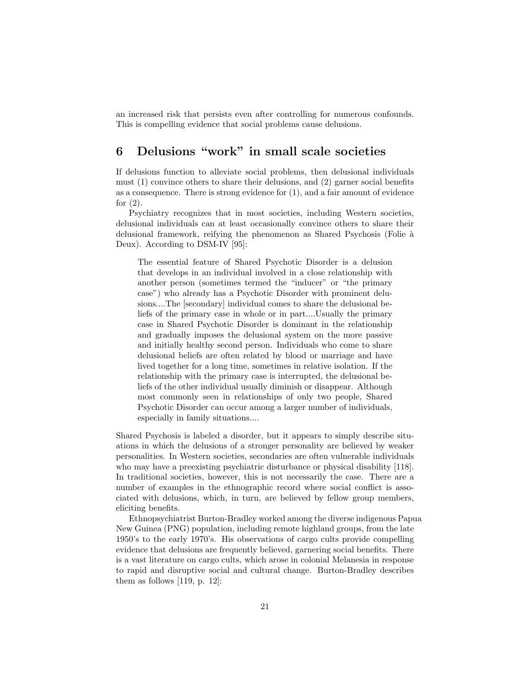an increased risk that persists even after controlling for numerous confounds. This is compelling evidence that social problems cause delusions.

# 6 Delusions "work" in small scale societies

If delusions function to alleviate social problems, then delusional individuals must (1) convince others to share their delusions, and (2) garner social benefits as a consequence. There is strong evidence for  $(1)$ , and a fair amount of evidence for (2).

Psychiatry recognizes that in most societies, including Western societies, delusional individuals can at least occasionally convince others to share their delusional framework, reifying the phenomenon as Shared Psychosis (Folie à Deux). According to DSM-IV [95]:

The essential feature of Shared Psychotic Disorder is a delusion that develops in an individual involved in a close relationship with another person (sometimes termed the "inducer" or "the primary case") who already has a Psychotic Disorder with prominent delusions....The [secondary] individual comes to share the delusional beliefs of the primary case in whole or in part....Usually the primary case in Shared Psychotic Disorder is dominant in the relationship and gradually imposes the delusional system on the more passive and initially healthy second person. Individuals who come to share delusional beliefs are often related by blood or marriage and have lived together for a long time, sometimes in relative isolation. If the relationship with the primary case is interrupted, the delusional beliefs of the other individual usually diminish or disappear. Although most commonly seen in relationships of only two people, Shared Psychotic Disorder can occur among a larger number of individuals, especially in family situations....

Shared Psychosis is labeled a disorder, but it appears to simply describe situations in which the delusions of a stronger personality are believed by weaker personalities. In Western societies, secondaries are often vulnerable individuals who may have a preexisting psychiatric disturbance or physical disability [118]. In traditional societies, however, this is not necessarily the case. There are a number of examples in the ethnographic record where social conflict is associated with delusions, which, in turn, are believed by fellow group members, eliciting benefits.

Ethnopsychiatrist Burton-Bradley worked among the diverse indigenous Papua New Guinea (PNG) population, including remote highland groups, from the late 1950's to the early 1970's. His observations of cargo cults provide compelling evidence that delusions are frequently believed, garnering social benefits. There is a vast literature on cargo cults, which arose in colonial Melanesia in response to rapid and disruptive social and cultural change. Burton-Bradley describes them as follows [119, p. 12]: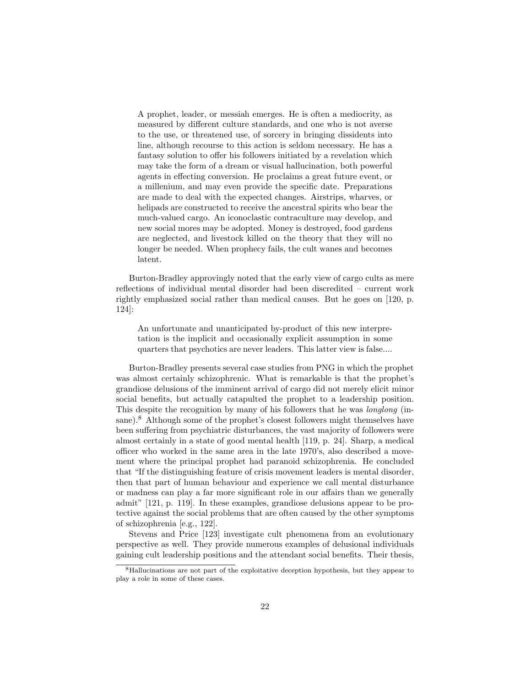A prophet, leader, or messiah emerges. He is often a mediocrity, as measured by different culture standards, and one who is not averse to the use, or threatened use, of sorcery in bringing dissidents into line, although recourse to this action is seldom necessary. He has a fantasy solution to offer his followers initiated by a revelation which may take the form of a dream or visual hallucination, both powerful agents in effecting conversion. He proclaims a great future event, or a millenium, and may even provide the specific date. Preparations are made to deal with the expected changes. Airstrips, wharves, or helipads are constructed to receive the ancestral spirits who bear the much-valued cargo. An iconoclastic contraculture may develop, and new social mores may be adopted. Money is destroyed, food gardens are neglected, and livestock killed on the theory that they will no longer be needed. When prophecy fails, the cult wanes and becomes latent.

Burton-Bradley approvingly noted that the early view of cargo cults as mere reflections of individual mental disorder had been discredited – current work rightly emphasized social rather than medical causes. But he goes on [120, p. 124]:

An unfortunate and unanticipated by-product of this new interpretation is the implicit and occasionally explicit assumption in some quarters that psychotics are never leaders. This latter view is false....

Burton-Bradley presents several case studies from PNG in which the prophet was almost certainly schizophrenic. What is remarkable is that the prophet's grandiose delusions of the imminent arrival of cargo did not merely elicit minor social benefits, but actually catapulted the prophet to a leadership position. This despite the recognition by many of his followers that he was longlong (insane).<sup>8</sup> Although some of the prophet's closest followers might themselves have been suffering from psychiatric disturbances, the vast majority of followers were almost certainly in a state of good mental health [119, p. 24]. Sharp, a medical officer who worked in the same area in the late 1970's, also described a movement where the principal prophet had paranoid schizophrenia. He concluded that "If the distinguishing feature of crisis movement leaders is mental disorder, then that part of human behaviour and experience we call mental disturbance or madness can play a far more significant role in our affairs than we generally admit" [121, p. 119]. In these examples, grandiose delusions appear to be protective against the social problems that are often caused by the other symptoms of schizophrenia [e.g., 122].

Stevens and Price [123] investigate cult phenomena from an evolutionary perspective as well. They provide numerous examples of delusional individuals gaining cult leadership positions and the attendant social benefits. Their thesis,

<sup>8</sup>Hallucinations are not part of the exploitative deception hypothesis, but they appear to play a role in some of these cases.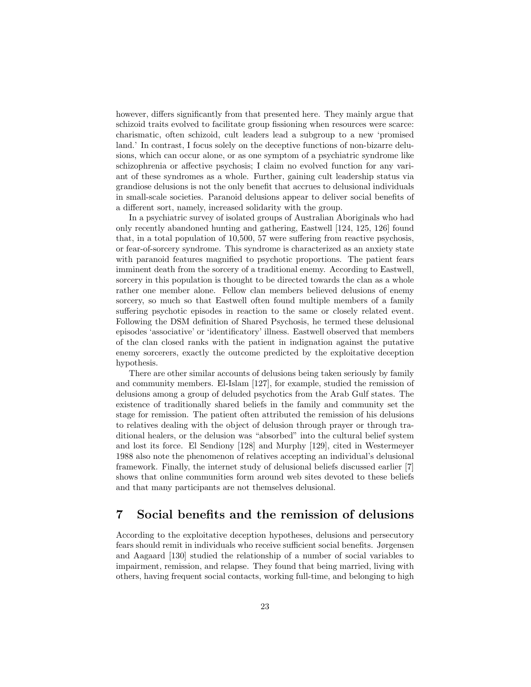however, differs significantly from that presented here. They mainly argue that schizoid traits evolved to facilitate group fissioning when resources were scarce: charismatic, often schizoid, cult leaders lead a subgroup to a new 'promised land.' In contrast, I focus solely on the deceptive functions of non-bizarre delusions, which can occur alone, or as one symptom of a psychiatric syndrome like schizophrenia or affective psychosis; I claim no evolved function for any variant of these syndromes as a whole. Further, gaining cult leadership status via grandiose delusions is not the only benefit that accrues to delusional individuals in small-scale societies. Paranoid delusions appear to deliver social benefits of a different sort, namely, increased solidarity with the group.

In a psychiatric survey of isolated groups of Australian Aboriginals who had only recently abandoned hunting and gathering, Eastwell [124, 125, 126] found that, in a total population of 10,500, 57 were suffering from reactive psychosis, or fear-of-sorcery syndrome. This syndrome is characterized as an anxiety state with paranoid features magnified to psychotic proportions. The patient fears imminent death from the sorcery of a traditional enemy. According to Eastwell, sorcery in this population is thought to be directed towards the clan as a whole rather one member alone. Fellow clan members believed delusions of enemy sorcery, so much so that Eastwell often found multiple members of a family suffering psychotic episodes in reaction to the same or closely related event. Following the DSM definition of Shared Psychosis, he termed these delusional episodes 'associative' or 'identificatory' illness. Eastwell observed that members of the clan closed ranks with the patient in indignation against the putative enemy sorcerers, exactly the outcome predicted by the exploitative deception hypothesis.

There are other similar accounts of delusions being taken seriously by family and community members. El-Islam [127], for example, studied the remission of delusions among a group of deluded psychotics from the Arab Gulf states. The existence of traditionally shared beliefs in the family and community set the stage for remission. The patient often attributed the remission of his delusions to relatives dealing with the object of delusion through prayer or through traditional healers, or the delusion was "absorbed" into the cultural belief system and lost its force. El Sendiony [128] and Murphy [129], cited in Westermeyer 1988 also note the phenomenon of relatives accepting an individual's delusional framework. Finally, the internet study of delusional beliefs discussed earlier [7] shows that online communities form around web sites devoted to these beliefs and that many participants are not themselves delusional.

## 7 Social benefits and the remission of delusions

According to the exploitative deception hypotheses, delusions and persecutory fears should remit in individuals who receive sufficient social benefits. Jørgensen and Aagaard [130] studied the relationship of a number of social variables to impairment, remission, and relapse. They found that being married, living with others, having frequent social contacts, working full-time, and belonging to high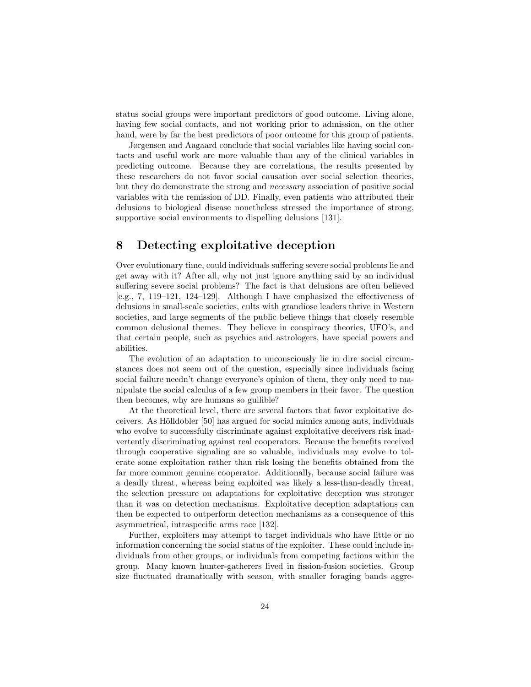status social groups were important predictors of good outcome. Living alone, having few social contacts, and not working prior to admission, on the other hand, were by far the best predictors of poor outcome for this group of patients.

Jørgensen and Aagaard conclude that social variables like having social contacts and useful work are more valuable than any of the clinical variables in predicting outcome. Because they are correlations, the results presented by these researchers do not favor social causation over social selection theories, but they do demonstrate the strong and necessary association of positive social variables with the remission of DD. Finally, even patients who attributed their delusions to biological disease nonetheless stressed the importance of strong, supportive social environments to dispelling delusions [131].

## 8 Detecting exploitative deception

Over evolutionary time, could individuals suffering severe social problems lie and get away with it? After all, why not just ignore anything said by an individual suffering severe social problems? The fact is that delusions are often believed [e.g., 7, 119–121, 124–129]. Although I have emphasized the effectiveness of delusions in small-scale societies, cults with grandiose leaders thrive in Western societies, and large segments of the public believe things that closely resemble common delusional themes. They believe in conspiracy theories, UFO's, and that certain people, such as psychics and astrologers, have special powers and abilities.

The evolution of an adaptation to unconsciously lie in dire social circumstances does not seem out of the question, especially since individuals facing social failure needn't change everyone's opinion of them, they only need to manipulate the social calculus of a few group members in their favor. The question then becomes, why are humans so gullible?

At the theoretical level, there are several factors that favor exploitative deceivers. As H¨olldobler [50] has argued for social mimics among ants, individuals who evolve to successfully discriminate against exploitative deceivers risk inadvertently discriminating against real cooperators. Because the benefits received through cooperative signaling are so valuable, individuals may evolve to tolerate some exploitation rather than risk losing the benefits obtained from the far more common genuine cooperator. Additionally, because social failure was a deadly threat, whereas being exploited was likely a less-than-deadly threat, the selection pressure on adaptations for exploitative deception was stronger than it was on detection mechanisms. Exploitative deception adaptations can then be expected to outperform detection mechanisms as a consequence of this asymmetrical, intraspecific arms race [132].

Further, exploiters may attempt to target individuals who have little or no information concerning the social status of the exploiter. These could include individuals from other groups, or individuals from competing factions within the group. Many known hunter-gatherers lived in fission-fusion societies. Group size fluctuated dramatically with season, with smaller foraging bands aggre-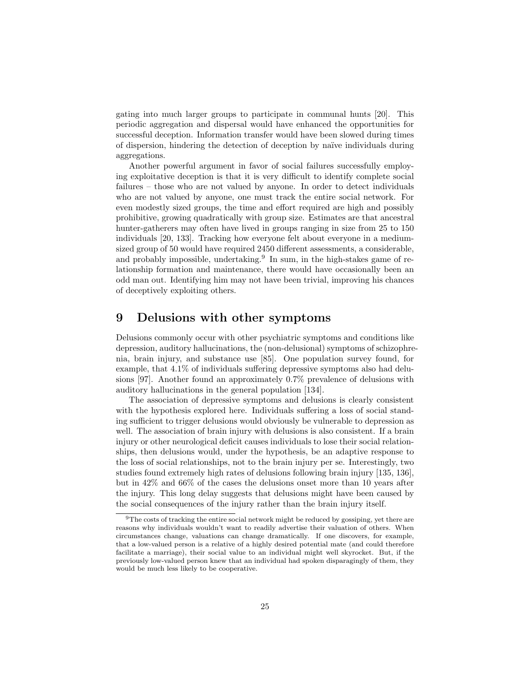gating into much larger groups to participate in communal hunts [20]. This periodic aggregation and dispersal would have enhanced the opportunities for successful deception. Information transfer would have been slowed during times of dispersion, hindering the detection of deception by na¨ıve individuals during aggregations.

Another powerful argument in favor of social failures successfully employing exploitative deception is that it is very difficult to identify complete social failures – those who are not valued by anyone. In order to detect individuals who are not valued by anyone, one must track the entire social network. For even modestly sized groups, the time and effort required are high and possibly prohibitive, growing quadratically with group size. Estimates are that ancestral hunter-gatherers may often have lived in groups ranging in size from 25 to 150 individuals [20, 133]. Tracking how everyone felt about everyone in a mediumsized group of 50 would have required 2450 different assessments, a considerable, and probably impossible, undertaking.<sup>9</sup> In sum, in the high-stakes game of relationship formation and maintenance, there would have occasionally been an odd man out. Identifying him may not have been trivial, improving his chances of deceptively exploiting others.

## 9 Delusions with other symptoms

Delusions commonly occur with other psychiatric symptoms and conditions like depression, auditory hallucinations, the (non-delusional) symptoms of schizophrenia, brain injury, and substance use [85]. One population survey found, for example, that 4.1% of individuals suffering depressive symptoms also had delusions [97]. Another found an approximately 0.7% prevalence of delusions with auditory hallucinations in the general population [134].

The association of depressive symptoms and delusions is clearly consistent with the hypothesis explored here. Individuals suffering a loss of social standing sufficient to trigger delusions would obviously be vulnerable to depression as well. The association of brain injury with delusions is also consistent. If a brain injury or other neurological deficit causes individuals to lose their social relationships, then delusions would, under the hypothesis, be an adaptive response to the loss of social relationships, not to the brain injury per se. Interestingly, two studies found extremely high rates of delusions following brain injury [135, 136], but in 42% and 66% of the cases the delusions onset more than 10 years after the injury. This long delay suggests that delusions might have been caused by the social consequences of the injury rather than the brain injury itself.

 $9$ The costs of tracking the entire social network might be reduced by gossiping, yet there are reasons why individuals wouldn't want to readily advertise their valuation of others. When circumstances change, valuations can change dramatically. If one discovers, for example, that a low-valued person is a relative of a highly desired potential mate (and could therefore facilitate a marriage), their social value to an individual might well skyrocket. But, if the previously low-valued person knew that an individual had spoken disparagingly of them, they would be much less likely to be cooperative.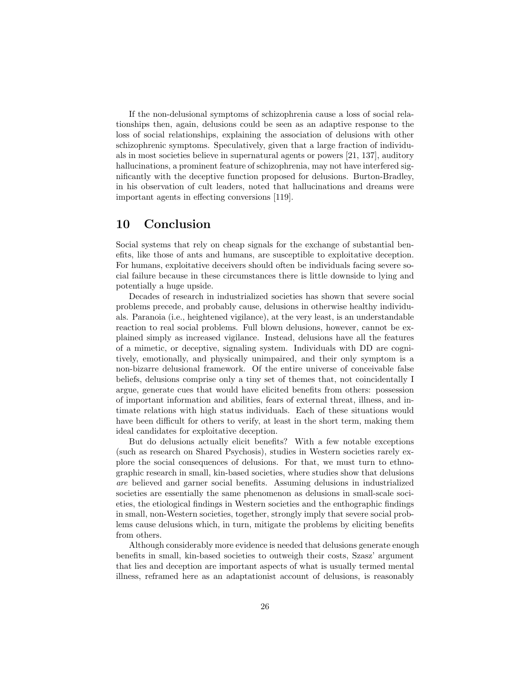If the non-delusional symptoms of schizophrenia cause a loss of social relationships then, again, delusions could be seen as an adaptive response to the loss of social relationships, explaining the association of delusions with other schizophrenic symptoms. Speculatively, given that a large fraction of individuals in most societies believe in supernatural agents or powers [21, 137], auditory hallucinations, a prominent feature of schizophrenia, may not have interfered significantly with the deceptive function proposed for delusions. Burton-Bradley, in his observation of cult leaders, noted that hallucinations and dreams were important agents in effecting conversions [119].

## 10 Conclusion

Social systems that rely on cheap signals for the exchange of substantial benefits, like those of ants and humans, are susceptible to exploitative deception. For humans, exploitative deceivers should often be individuals facing severe social failure because in these circumstances there is little downside to lying and potentially a huge upside.

Decades of research in industrialized societies has shown that severe social problems precede, and probably cause, delusions in otherwise healthy individuals. Paranoia (i.e., heightened vigilance), at the very least, is an understandable reaction to real social problems. Full blown delusions, however, cannot be explained simply as increased vigilance. Instead, delusions have all the features of a mimetic, or deceptive, signaling system. Individuals with DD are cognitively, emotionally, and physically unimpaired, and their only symptom is a non-bizarre delusional framework. Of the entire universe of conceivable false beliefs, delusions comprise only a tiny set of themes that, not coincidentally I argue, generate cues that would have elicited benefits from others: possession of important information and abilities, fears of external threat, illness, and intimate relations with high status individuals. Each of these situations would have been difficult for others to verify, at least in the short term, making them ideal candidates for exploitative deception.

But do delusions actually elicit benefits? With a few notable exceptions (such as research on Shared Psychosis), studies in Western societies rarely explore the social consequences of delusions. For that, we must turn to ethnographic research in small, kin-based societies, where studies show that delusions are believed and garner social benefits. Assuming delusions in industrialized societies are essentially the same phenomenon as delusions in small-scale societies, the etiological findings in Western societies and the enthographic findings in small, non-Western societies, together, strongly imply that severe social problems cause delusions which, in turn, mitigate the problems by eliciting benefits from others.

Although considerably more evidence is needed that delusions generate enough benefits in small, kin-based societies to outweigh their costs, Szasz' argument that lies and deception are important aspects of what is usually termed mental illness, reframed here as an adaptationist account of delusions, is reasonably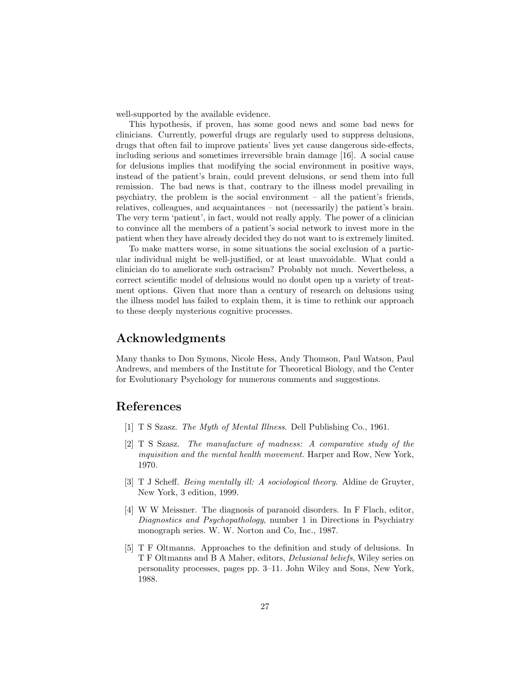well-supported by the available evidence.

This hypothesis, if proven, has some good news and some bad news for clinicians. Currently, powerful drugs are regularly used to suppress delusions, drugs that often fail to improve patients' lives yet cause dangerous side-effects, including serious and sometimes irreversible brain damage [16]. A social cause for delusions implies that modifying the social environment in positive ways, instead of the patient's brain, could prevent delusions, or send them into full remission. The bad news is that, contrary to the illness model prevailing in psychiatry, the problem is the social environment – all the patient's friends, relatives, colleagues, and acquaintances – not (necessarily) the patient's brain. The very term 'patient', in fact, would not really apply. The power of a clinician to convince all the members of a patient's social network to invest more in the patient when they have already decided they do not want to is extremely limited.

To make matters worse, in some situations the social exclusion of a particular individual might be well-justified, or at least unavoidable. What could a clinician do to ameliorate such ostracism? Probably not much. Nevertheless, a correct scientific model of delusions would no doubt open up a variety of treatment options. Given that more than a century of research on delusions using the illness model has failed to explain them, it is time to rethink our approach to these deeply mysterious cognitive processes.

## Acknowledgments

Many thanks to Don Symons, Nicole Hess, Andy Thomson, Paul Watson, Paul Andrews, and members of the Institute for Theoretical Biology, and the Center for Evolutionary Psychology for numerous comments and suggestions.

### References

- [1] T S Szasz. The Myth of Mental Illness. Dell Publishing Co., 1961.
- [2] T S Szasz. The manufacture of madness: A comparative study of the inquisition and the mental health movement. Harper and Row, New York, 1970.
- [3] T J Scheff. Being mentally ill: A sociological theory. Aldine de Gruyter, New York, 3 edition, 1999.
- [4] W W Meissner. The diagnosis of paranoid disorders. In F Flach, editor, Diagnostics and Psychopathology, number 1 in Directions in Psychiatry monograph series. W. W. Norton and Co, Inc., 1987.
- [5] T F Oltmanns. Approaches to the definition and study of delusions. In T F Oltmanns and B A Maher, editors, Delusional beliefs, Wiley series on personality processes, pages pp. 3–11. John Wiley and Sons, New York, 1988.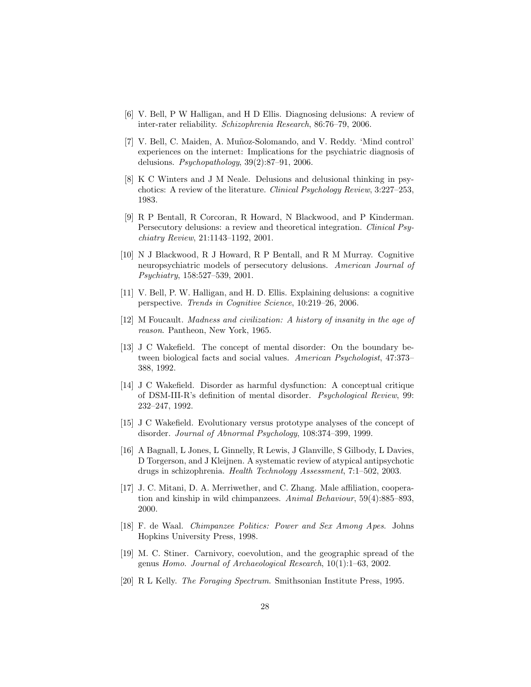- [6] V. Bell, P W Halligan, and H D Ellis. Diagnosing delusions: A review of inter-rater reliability. Schizophrenia Research, 86:76–79, 2006.
- [7] V. Bell, C. Maiden, A. Muñoz-Solomando, and V. Reddy. 'Mind control' experiences on the internet: Implications for the psychiatric diagnosis of delusions. Psychopathology, 39(2):87–91, 2006.
- [8] K C Winters and J M Neale. Delusions and delusional thinking in psychotics: A review of the literature. Clinical Psychology Review, 3:227–253, 1983.
- [9] R P Bentall, R Corcoran, R Howard, N Blackwood, and P Kinderman. Persecutory delusions: a review and theoretical integration. Clinical Psychiatry Review, 21:1143–1192, 2001.
- [10] N J Blackwood, R J Howard, R P Bentall, and R M Murray. Cognitive neuropsychiatric models of persecutory delusions. American Journal of Psychiatry, 158:527–539, 2001.
- [11] V. Bell, P. W. Halligan, and H. D. Ellis. Explaining delusions: a cognitive perspective. Trends in Cognitive Science, 10:219–26, 2006.
- [12] M Foucault. Madness and civilization: A history of insanity in the age of reason. Pantheon, New York, 1965.
- [13] J C Wakefield. The concept of mental disorder: On the boundary between biological facts and social values. American Psychologist, 47:373– 388, 1992.
- [14] J C Wakefield. Disorder as harmful dysfunction: A conceptual critique of DSM-III-R's definition of mental disorder. Psychological Review, 99: 232–247, 1992.
- [15] J C Wakefield. Evolutionary versus prototype analyses of the concept of disorder. Journal of Abnormal Psychology, 108:374–399, 1999.
- [16] A Bagnall, L Jones, L Ginnelly, R Lewis, J Glanville, S Gilbody, L Davies, D Torgerson, and J Kleijnen. A systematic review of atypical antipsychotic drugs in schizophrenia. Health Technology Assessment, 7:1–502, 2003.
- [17] J. C. Mitani, D. A. Merriwether, and C. Zhang. Male affiliation, cooperation and kinship in wild chimpanzees. Animal Behaviour, 59(4):885–893, 2000.
- [18] F. de Waal. Chimpanzee Politics: Power and Sex Among Apes. Johns Hopkins University Press, 1998.
- [19] M. C. Stiner. Carnivory, coevolution, and the geographic spread of the genus Homo. Journal of Archaeological Research, 10(1):1–63, 2002.
- [20] R L Kelly. The Foraging Spectrum. Smithsonian Institute Press, 1995.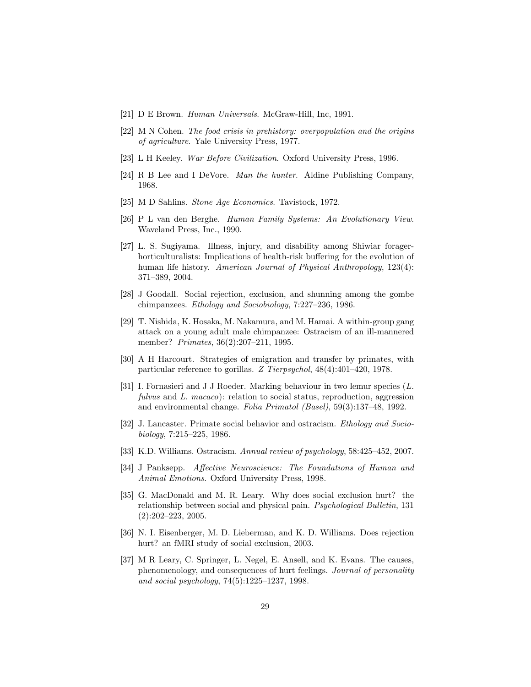- [21] D E Brown. *Human Universals*. McGraw-Hill, Inc, 1991.
- [22] M N Cohen. The food crisis in prehistory: overpopulation and the origins of agriculture. Yale University Press, 1977.
- [23] L H Keeley. War Before Civilization. Oxford University Press, 1996.
- [24] R B Lee and I DeVore. Man the hunter. Aldine Publishing Company, 1968.
- [25] M D Sahlins. Stone Age Economics. Tavistock, 1972.
- [26] P L van den Berghe. Human Family Systems: An Evolutionary View. Waveland Press, Inc., 1990.
- [27] L. S. Sugiyama. Illness, injury, and disability among Shiwiar foragerhorticulturalists: Implications of health-risk buffering for the evolution of human life history. American Journal of Physical Anthropology, 123(4): 371–389, 2004.
- [28] J Goodall. Social rejection, exclusion, and shunning among the gombe chimpanzees. Ethology and Sociobiology, 7:227–236, 1986.
- [29] T. Nishida, K. Hosaka, M. Nakamura, and M. Hamai. A within-group gang attack on a young adult male chimpanzee: Ostracism of an ill-mannered member? Primates, 36(2):207–211, 1995.
- [30] A H Harcourt. Strategies of emigration and transfer by primates, with particular reference to gorillas. Z Tierpsychol, 48(4):401–420, 1978.
- [31] I. Fornasieri and J J Roeder. Marking behaviour in two lemur species (L. fulvus and L. macaco): relation to social status, reproduction, aggression and environmental change. Folia Primatol (Basel), 59(3):137–48, 1992.
- [32] J. Lancaster. Primate social behavior and ostracism. Ethology and Sociobiology, 7:215–225, 1986.
- [33] K.D. Williams. Ostracism. Annual review of psychology, 58:425–452, 2007.
- [34] J Panksepp. Affective Neuroscience: The Foundations of Human and Animal Emotions. Oxford University Press, 1998.
- [35] G. MacDonald and M. R. Leary. Why does social exclusion hurt? the relationship between social and physical pain. Psychological Bulletin, 131 (2):202–223, 2005.
- [36] N. I. Eisenberger, M. D. Lieberman, and K. D. Williams. Does rejection hurt? an fMRI study of social exclusion, 2003.
- [37] M R Leary, C. Springer, L. Negel, E. Ansell, and K. Evans. The causes, phenomenology, and consequences of hurt feelings. Journal of personality and social psychology, 74(5):1225–1237, 1998.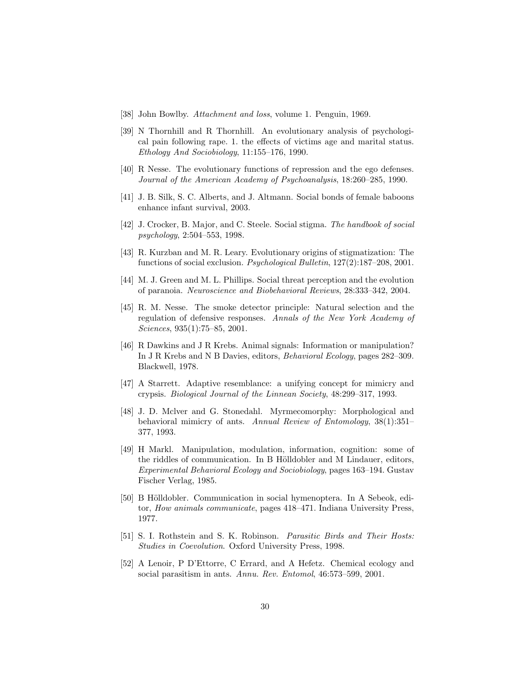- [38] John Bowlby. Attachment and loss, volume 1. Penguin, 1969.
- [39] N Thornhill and R Thornhill. An evolutionary analysis of psychological pain following rape. 1. the effects of victims age and marital status. Ethology And Sociobiology, 11:155–176, 1990.
- [40] R Nesse. The evolutionary functions of repression and the ego defenses. Journal of the American Academy of Psychoanalysis, 18:260–285, 1990.
- [41] J. B. Silk, S. C. Alberts, and J. Altmann. Social bonds of female baboons enhance infant survival, 2003.
- [42] J. Crocker, B. Major, and C. Steele. Social stigma. The handbook of social psychology, 2:504–553, 1998.
- [43] R. Kurzban and M. R. Leary. Evolutionary origins of stigmatization: The functions of social exclusion. Psychological Bulletin, 127(2):187–208, 2001.
- [44] M. J. Green and M. L. Phillips. Social threat perception and the evolution of paranoia. Neuroscience and Biobehavioral Reviews, 28:333–342, 2004.
- [45] R. M. Nesse. The smoke detector principle: Natural selection and the regulation of defensive responses. Annals of the New York Academy of Sciences, 935(1):75–85, 2001.
- [46] R Dawkins and J R Krebs. Animal signals: Information or manipulation? In J R Krebs and N B Davies, editors, Behavioral Ecology, pages 282–309. Blackwell, 1978.
- [47] A Starrett. Adaptive resemblance: a unifying concept for mimicry and crypsis. Biological Journal of the Linnean Society, 48:299–317, 1993.
- [48] J. D. Mclver and G. Stonedahl. Myrmecomorphy: Morphological and behavioral mimicry of ants. Annual Review of Entomology, 38(1):351– 377, 1993.
- [49] H Markl. Manipulation, modulation, information, cognition: some of the riddles of communication. In B Hölldobler and M Lindauer, editors, Experimental Behavioral Ecology and Sociobiology, pages 163–194. Gustav Fischer Verlag, 1985.
- [50] B Hölldobler. Communication in social hymenoptera. In A Sebeok, editor, How animals communicate, pages 418–471. Indiana University Press, 1977.
- [51] S. I. Rothstein and S. K. Robinson. Parasitic Birds and Their Hosts: Studies in Coevolution. Oxford University Press, 1998.
- [52] A Lenoir, P D'Ettorre, C Errard, and A Hefetz. Chemical ecology and social parasitism in ants. Annu. Rev. Entomol, 46:573–599, 2001.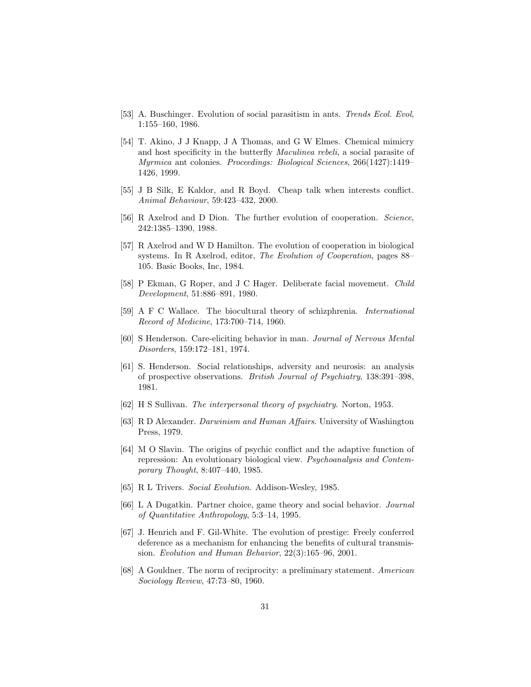- [53] A. Buschinger. Evolution of social parasitism in ants. Trends Ecol. Evol, 1:155–160, 1986.
- [54] T. Akino, J J Knapp, J A Thomas, and G W Elmes. Chemical mimicry and host specificity in the butterfly Maculinea rebeli, a social parasite of Myrmica ant colonies. Proceedings: Biological Sciences, 266(1427):1419– 1426, 1999.
- [55] J B Silk, E Kaldor, and R Boyd. Cheap talk when interests conflict. Animal Behaviour, 59:423–432, 2000.
- [56] R Axelrod and D Dion. The further evolution of cooperation. Science, 242:1385–1390, 1988.
- [57] R Axelrod and W D Hamilton. The evolution of cooperation in biological systems. In R Axelrod, editor, The Evolution of Cooperation, pages 88– 105. Basic Books, Inc, 1984.
- [58] P Ekman, G Roper, and J C Hager. Deliberate facial movement. Child Development, 51:886–891, 1980.
- [59] A F C Wallace. The biocultural theory of schizphrenia. International Record of Medicine, 173:700–714, 1960.
- [60] S Henderson. Care-eliciting behavior in man. Journal of Nervous Mental Disorders, 159:172–181, 1974.
- [61] S. Henderson. Social relationships, adversity and neurosis: an analysis of prospective observations. British Journal of Psychiatry, 138:391–398, 1981.
- [62] H S Sullivan. The interpersonal theory of psychiatry. Norton, 1953.
- [63] R D Alexander. Darwinism and Human Affairs. University of Washington Press, 1979.
- [64] M O Slavin. The origins of psychic conflict and the adaptive function of repression: An evolutionary biological view. Psychoanalysis and Contemporary Thought, 8:407–440, 1985.
- [65] R L Trivers. Social Evolution. Addison-Wesley, 1985.
- [66] L A Dugatkin. Partner choice, game theory and social behavior. Journal of Quantitative Anthropology, 5:3–14, 1995.
- [67] J. Henrich and F. Gil-White. The evolution of prestige: Freely conferred deference as a mechanism for enhancing the benefits of cultural transmission. Evolution and Human Behavior, 22(3):165–96, 2001.
- [68] A Gouldner. The norm of reciprocity: a preliminary statement. American Sociology Review, 47:73–80, 1960.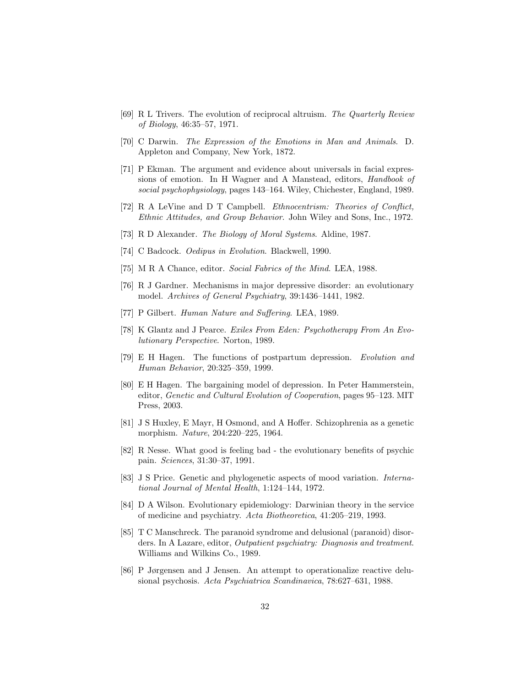- [69] R L Trivers. The evolution of reciprocal altruism. The Quarterly Review of Biology, 46:35–57, 1971.
- [70] C Darwin. The Expression of the Emotions in Man and Animals. D. Appleton and Company, New York, 1872.
- [71] P Ekman. The argument and evidence about universals in facial expressions of emotion. In H Wagner and A Manstead, editors, Handbook of social psychophysiology, pages 143–164. Wiley, Chichester, England, 1989.
- [72] R A LeVine and D T Campbell. Ethnocentrism: Theories of Conflict, Ethnic Attitudes, and Group Behavior. John Wiley and Sons, Inc., 1972.
- [73] R D Alexander. The Biology of Moral Systems. Aldine, 1987.
- [74] C Badcock. Oedipus in Evolution. Blackwell, 1990.
- [75] M R A Chance, editor. Social Fabrics of the Mind. LEA, 1988.
- [76] R J Gardner. Mechanisms in major depressive disorder: an evolutionary model. Archives of General Psychiatry, 39:1436–1441, 1982.
- [77] P Gilbert. Human Nature and Suffering. LEA, 1989.
- [78] K Glantz and J Pearce. Exiles From Eden: Psychotherapy From An Evolutionary Perspective. Norton, 1989.
- [79] E H Hagen. The functions of postpartum depression. Evolution and Human Behavior, 20:325–359, 1999.
- [80] E H Hagen. The bargaining model of depression. In Peter Hammerstein, editor, Genetic and Cultural Evolution of Cooperation, pages 95–123. MIT Press, 2003.
- [81] J S Huxley, E Mayr, H Osmond, and A Hoffer. Schizophrenia as a genetic morphism. Nature, 204:220–225, 1964.
- [82] R Nesse. What good is feeling bad the evolutionary benefits of psychic pain. Sciences, 31:30–37, 1991.
- [83] J S Price. Genetic and phylogenetic aspects of mood variation. International Journal of Mental Health, 1:124–144, 1972.
- [84] D A Wilson. Evolutionary epidemiology: Darwinian theory in the service of medicine and psychiatry. Acta Biotheoretica, 41:205–219, 1993.
- [85] T C Manschreck. The paranoid syndrome and delusional (paranoid) disorders. In A Lazare, editor, Outpatient psychiatry: Diagnosis and treatment. Williams and Wilkins Co., 1989.
- [86] P Jørgensen and J Jensen. An attempt to operationalize reactive delusional psychosis. Acta Psychiatrica Scandinavica, 78:627–631, 1988.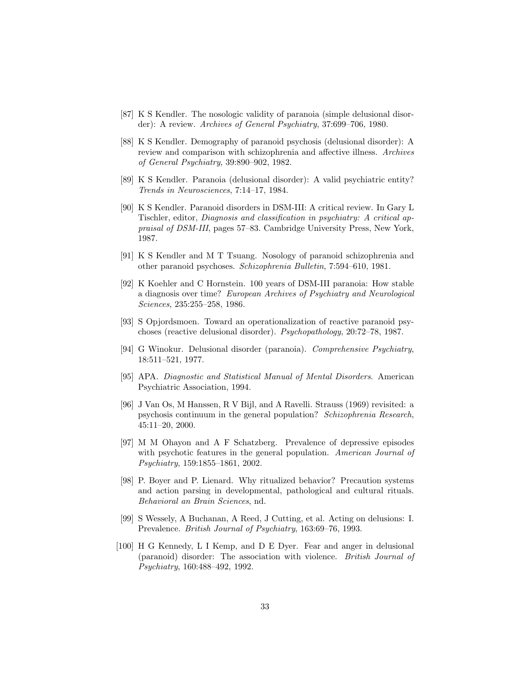- [87] K S Kendler. The nosologic validity of paranoia (simple delusional disorder): A review. Archives of General Psychiatry, 37:699–706, 1980.
- [88] K S Kendler. Demography of paranoid psychosis (delusional disorder): A review and comparison with schizophrenia and affective illness. Archives of General Psychiatry, 39:890–902, 1982.
- [89] K S Kendler. Paranoia (delusional disorder): A valid psychiatric entity? Trends in Neurosciences, 7:14–17, 1984.
- [90] K S Kendler. Paranoid disorders in DSM-III: A critical review. In Gary L Tischler, editor, Diagnosis and classification in psychiatry: A critical appraisal of DSM-III, pages 57–83. Cambridge University Press, New York, 1987.
- [91] K S Kendler and M T Tsuang. Nosology of paranoid schizophrenia and other paranoid psychoses. Schizophrenia Bulletin, 7:594–610, 1981.
- [92] K Koehler and C Hornstein. 100 years of DSM-III paranoia: How stable a diagnosis over time? European Archives of Psychiatry and Neurological Sciences, 235:255-258, 1986.
- [93] S Opjordsmoen. Toward an operationalization of reactive paranoid psychoses (reactive delusional disorder). Psychopathology, 20:72–78, 1987.
- [94] G Winokur. Delusional disorder (paranoia). Comprehensive Psychiatry, 18:511–521, 1977.
- [95] APA. Diagnostic and Statistical Manual of Mental Disorders. American Psychiatric Association, 1994.
- [96] J Van Os, M Hanssen, R V Bijl, and A Ravelli. Strauss (1969) revisited: a psychosis continuum in the general population? Schizophrenia Research, 45:11–20, 2000.
- [97] M M Ohayon and A F Schatzberg. Prevalence of depressive episodes with psychotic features in the general population. American Journal of Psychiatry, 159:1855–1861, 2002.
- [98] P. Boyer and P. Lienard. Why ritualized behavior? Precaution systems and action parsing in developmental, pathological and cultural rituals. Behavioral an Brain Sciences, nd.
- [99] S Wessely, A Buchanan, A Reed, J Cutting, et al. Acting on delusions: I. Prevalence. British Journal of Psychiatry, 163:69–76, 1993.
- [100] H G Kennedy, L I Kemp, and D E Dyer. Fear and anger in delusional (paranoid) disorder: The association with violence. British Journal of Psychiatry, 160:488–492, 1992.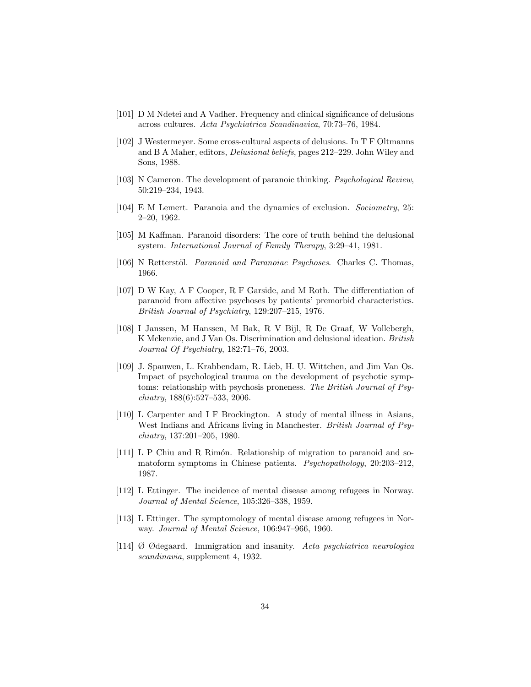- [101] D M Ndetei and A Vadher. Frequency and clinical significance of delusions across cultures. Acta Psychiatrica Scandinavica, 70:73–76, 1984.
- [102] J Westermeyer. Some cross-cultural aspects of delusions. In T F Oltmanns and B A Maher, editors, Delusional beliefs, pages 212–229. John Wiley and Sons, 1988.
- [103] N Cameron. The development of paranoic thinking. *Psychological Review*, 50:219–234, 1943.
- [104] E M Lemert. Paranoia and the dynamics of exclusion. Sociometry, 25: 2–20, 1962.
- [105] M Kaffman. Paranoid disorders: The core of truth behind the delusional system. International Journal of Family Therapy, 3:29–41, 1981.
- [106] N Retterstöl. *Paranoid and Paranoiac Psychoses*. Charles C. Thomas, 1966.
- [107] D W Kay, A F Cooper, R F Garside, and M Roth. The differentiation of paranoid from affective psychoses by patients' premorbid characteristics. British Journal of Psychiatry, 129:207–215, 1976.
- [108] I Janssen, M Hanssen, M Bak, R V Bijl, R De Graaf, W Vollebergh, K Mckenzie, and J Van Os. Discrimination and delusional ideation. British Journal Of Psychiatry, 182:71–76, 2003.
- [109] J. Spauwen, L. Krabbendam, R. Lieb, H. U. Wittchen, and Jim Van Os. Impact of psychological trauma on the development of psychotic symptoms: relationship with psychosis proneness. The British Journal of Psy $chiatry, 188(6):527-533, 2006.$
- [110] L Carpenter and I F Brockington. A study of mental illness in Asians, West Indians and Africans living in Manchester. British Journal of Psychiatry, 137:201–205, 1980.
- [111] L P Chiu and R Rimón. Relationship of migration to paranoid and somatoform symptoms in Chinese patients. Psychopathology, 20:203–212, 1987.
- [112] L Ettinger. The incidence of mental disease among refugees in Norway. Journal of Mental Science, 105:326–338, 1959.
- [113] L Ettinger. The symptomology of mental disease among refugees in Norway. Journal of Mental Science, 106:947–966, 1960.
- [114] Ø Ødegaard. Immigration and insanity. Acta psychiatrica neurologica scandinavia, supplement 4, 1932.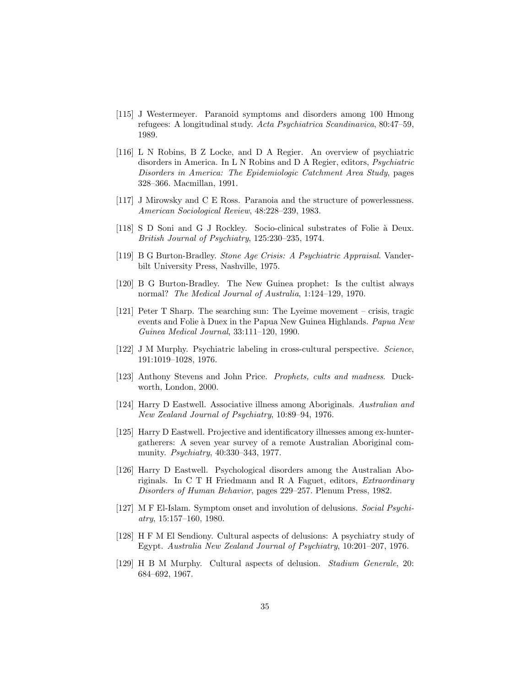- [115] J Westermeyer. Paranoid symptoms and disorders among 100 Hmong refugees: A longitudinal study. Acta Psychiatrica Scandinavica, 80:47–59, 1989.
- [116] L N Robins, B Z Locke, and D A Regier. An overview of psychiatric disorders in America. In L N Robins and D A Regier, editors, Psychiatric Disorders in America: The Epidemiologic Catchment Area Study, pages 328–366. Macmillan, 1991.
- [117] J Mirowsky and C E Ross. Paranoia and the structure of powerlessness. American Sociological Review, 48:228–239, 1983.
- [118] S D Soni and G J Rockley. Socio-clinical substrates of Folie à Deux. British Journal of Psychiatry, 125:230–235, 1974.
- [119] B G Burton-Bradley. Stone Age Crisis: A Psychiatric Appraisal. Vanderbilt University Press, Nashville, 1975.
- [120] B G Burton-Bradley. The New Guinea prophet: Is the cultist always normal? The Medical Journal of Australia, 1:124–129, 1970.
- [121] Peter T Sharp. The searching sun: The Lyeime movement crisis, tragic events and Folie à Duex in the Papua New Guinea Highlands. Papua New Guinea Medical Journal, 33:111–120, 1990.
- [122] J M Murphy. Psychiatric labeling in cross-cultural perspective. Science, 191:1019–1028, 1976.
- [123] Anthony Stevens and John Price. Prophets, cults and madness. Duckworth, London, 2000.
- [124] Harry D Eastwell. Associative illness among Aboriginals. Australian and New Zealand Journal of Psychiatry, 10:89–94, 1976.
- [125] Harry D Eastwell. Projective and identificatory illnesses among ex-huntergatherers: A seven year survey of a remote Australian Aboriginal community. Psychiatry, 40:330–343, 1977.
- [126] Harry D Eastwell. Psychological disorders among the Australian Aboriginals. In C T H Friedmann and R A Faguet, editors, Extraordinary Disorders of Human Behavior, pages 229–257. Plenum Press, 1982.
- [127] M F El-Islam. Symptom onset and involution of delusions. Social Psychiatry, 15:157–160, 1980.
- [128] H F M El Sendiony. Cultural aspects of delusions: A psychiatry study of Egypt. Australia New Zealand Journal of Psychiatry, 10:201–207, 1976.
- [129] H B M Murphy. Cultural aspects of delusion. Stadium Generale, 20: 684–692, 1967.